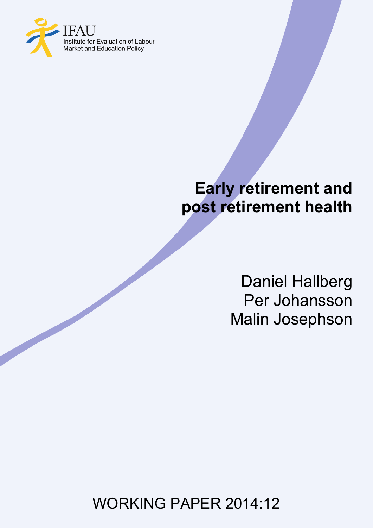

# **Early retirement and post retirement health**

Daniel Hallberg Per Johansson Malin Josephson

WORKING PAPER 2014:12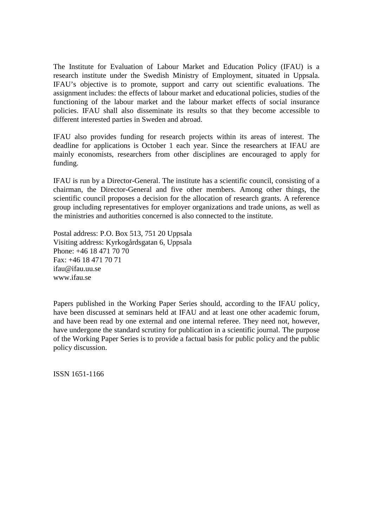The Institute for Evaluation of Labour Market and Education Policy (IFAU) is a research institute under the Swedish Ministry of Employment, situated in Uppsala. IFAU's objective is to promote, support and carry out scientific evaluations. The assignment includes: the effects of labour market and educational policies, studies of the functioning of the labour market and the labour market effects of social insurance policies. IFAU shall also disseminate its results so that they become accessible to different interested parties in Sweden and abroad.

IFAU also provides funding for research projects within its areas of interest. The deadline for applications is October 1 each year. Since the researchers at IFAU are mainly economists, researchers from other disciplines are encouraged to apply for funding.

IFAU is run by a Director-General. The institute has a scientific council, consisting of a chairman, the Director-General and five other members. Among other things, the scientific council proposes a decision for the allocation of research grants. A reference group including representatives for employer organizations and trade unions, as well as the ministries and authorities concerned is also connected to the institute.

Postal address: P.O. Box 513, 751 20 Uppsala Visiting address: Kyrkogårdsgatan 6, Uppsala Phone: +46 18 471 70 70 Fax: +46 18 471 70 71 ifau@ifau.uu.se www.ifau.se

Papers published in the Working Paper Series should, according to the IFAU policy, have been discussed at seminars held at IFAU and at least one other academic forum, and have been read by one external and one internal referee. They need not, however, have undergone the standard scrutiny for publication in a scientific journal. The purpose of the Working Paper Series is to provide a factual basis for public policy and the public policy discussion.

ISSN 1651-1166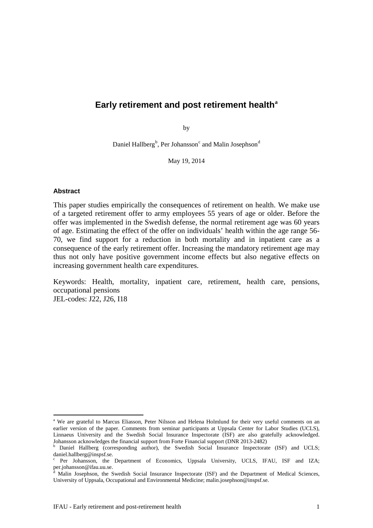# **Early retirement and post retirement health[a](#page-2-0)**

by

Daniel Hall[b](#page-2-1)erg<sup>b</sup>, Per Johansson<sup>[c](#page-2-2)</sup> an[d](#page-2-3) Malin Josephson<sup>d</sup>

May 19, 2014

#### **Abstract**

This paper studies empirically the consequences of retirement on health. We make use of a targeted retirement offer to army employees 55 years of age or older. Before the offer was implemented in the Swedish defense, the normal retirement age was 60 years of age. Estimating the effect of the offer on individuals' health within the age range 56- 70, we find support for a reduction in both mortality and in inpatient care as a consequence of the early retirement offer. Increasing the mandatory retirement age may thus not only have positive government income effects but also negative effects on increasing government health care expenditures.

Keywords: Health, mortality, inpatient care, retirement, health care, pensions, occupational pensions JEL-codes: J22, J26, I18

<span id="page-2-0"></span><sup>&</sup>lt;sup>a</sup> We are grateful to Marcus Eliasson, Peter Nilsson and Helena Holmlund for their very useful comments on an earlier version of the paper. Comments from seminar participants at Uppsala Center for Labor Studies (UCLS), Linnaeus University and the Swedish Social Insurance Inspectorate (ISF) are also gratefully acknowledged. Johansson acknowledges the financial support from Forte Financial support (DNR 2013-2482)<br><sup>b</sup> Daniel Hallberg (corresponding author), the Swedish Social Insurance Inspectorate (ISF) and UCLS;

<span id="page-2-1"></span>daniel.hallberg@inspsf.se.

<span id="page-2-2"></span>Per Johansson, the Department of Economics, Uppsala University, UCLS, IFAU, ISF and IZA; per.johansson@ifau.uu.se.

<span id="page-2-3"></span>Malin Josephson, the Swedish Social Insurance Inspectorate (ISF) and the Department of Medical Sciences, University of Uppsala, Occupational and Environmental Medicine; malin.josephson@inspsf.se.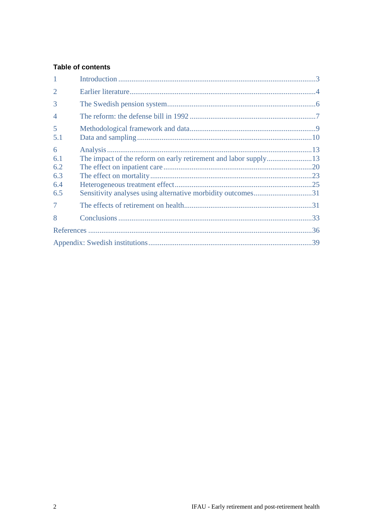# **Table of contents**

| $\mathbf{1}$   |  |
|----------------|--|
| $\overline{2}$ |  |
| 3              |  |
| $\overline{4}$ |  |
| 5<br>5.1       |  |
| 6              |  |
| 6.1            |  |
| 6.2            |  |
| 6.3            |  |
| 6.4            |  |
| 6.5            |  |
| $\overline{7}$ |  |
| 8              |  |
|                |  |
|                |  |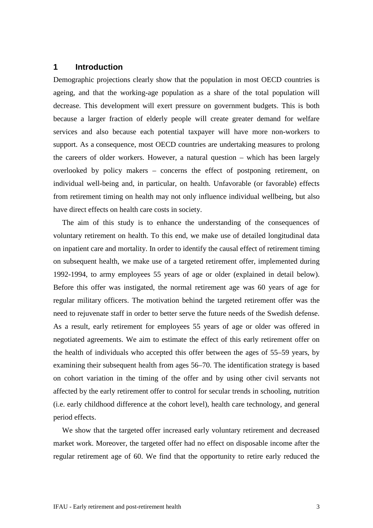# <span id="page-4-0"></span>**1 Introduction**

Demographic projections clearly show that the population in most OECD countries is ageing, and that the working-age population as a share of the total population will decrease. This development will exert pressure on government budgets. This is both because a larger fraction of elderly people will create greater demand for welfare services and also because each potential taxpayer will have more non-workers to support. As a consequence, most OECD countries are undertaking measures to prolong the careers of older workers. However, a natural question – which has been largely overlooked by policy makers – concerns the effect of postponing retirement, on individual well-being and, in particular, on health. Unfavorable (or favorable) effects from retirement timing on health may not only influence individual wellbeing, but also have direct effects on health care costs in society.

The aim of this study is to enhance the understanding of the consequences of voluntary retirement on health. To this end, we make use of detailed longitudinal data on inpatient care and mortality. In order to identify the causal effect of retirement timing on subsequent health, we make use of a targeted retirement offer, implemented during 1992-1994, to army employees 55 years of age or older (explained in detail below). Before this offer was instigated, the normal retirement age was 60 years of age for regular military officers. The motivation behind the targeted retirement offer was the need to rejuvenate staff in order to better serve the future needs of the Swedish defense. As a result, early retirement for employees 55 years of age or older was offered in negotiated agreements. We aim to estimate the effect of this early retirement offer on the health of individuals who accepted this offer between the ages of 55–59 years, by examining their subsequent health from ages 56–70. The identification strategy is based on cohort variation in the timing of the offer and by using other civil servants not affected by the early retirement offer to control for secular trends in schooling, nutrition (i.e. early childhood difference at the cohort level), health care technology, and general period effects.

We show that the targeted offer increased early voluntary retirement and decreased market work. Moreover, the targeted offer had no effect on disposable income after the regular retirement age of 60. We find that the opportunity to retire early reduced the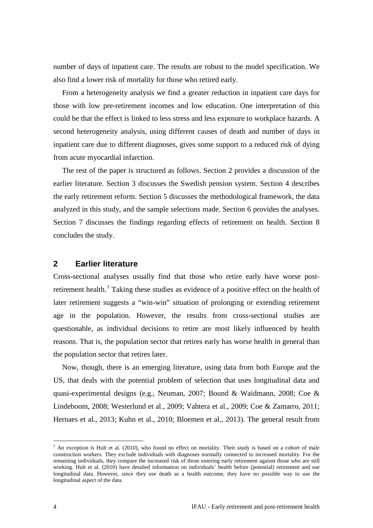number of days of inpatient care. The results are robust to the model specification. We also find a lower risk of mortality for those who retired early.

From a heterogeneity analysis we find a greater reduction in inpatient care days for those with low pre-retirement incomes and low education. One interpretation of this could be that the effect is linked to less stress and less exposure to workplace hazards. A second heterogeneity analysis, using different causes of death and number of days in inpatient care due to different diagnoses, gives some support to a reduced risk of dying from acute myocardial infarction.

The rest of the paper is structured as follows. Section 2 provides a discussion of the earlier literature. Section 3 discusses the Swedish pension system. Section 4 describes the early retirement reform. Section 5 discusses the methodological framework, the data analyzed in this study, and the sample selections made. Section 6 provides the analyses. Section 7 discusses the findings regarding effects of retirement on health. Section 8 concludes the study.

#### <span id="page-5-0"></span>**2 Earlier literature**

Cross-sectional analyses usually find that those who retire early have worse post-retirement health.<sup>[1](#page-5-1)</sup> Taking these studies as evidence of a positive effect on the health of later retirement suggests a "win-win" situation of prolonging or extending retirement age in the population. However, the results from cross-sectional studies are questionable, as individual decisions to retire are most likely influenced by health reasons. That is, the population sector that retires early has worse health in general than the population sector that retires later.

Now, though, there is an emerging literature, using data from both Europe and the US, that deals with the potential problem of selection that uses longitudinal data and quasi-experimental designs (e.g., Neuman, 2007; Bound & Waidmann, 2008; Coe & Lindeboom, 2008; Westerlund et al., 2009; Vahtera et al., 2009; Coe & Zamarro, 2011; Hernaes et al., 2013; Kuhn et al., 2010; Bloemen et al., 2013). The general result from

<span id="page-5-1"></span><sup>&</sup>lt;sup>1</sup> An exception is Hult et al. (2010), who found no effect on mortality. Their study is based on a cohort of male construction workers. They exclude individuals with diagnoses normally connected to increased mortality. For the remaining individuals, they compare the increased risk of those entering early retirement against those who are still working. Hult et al. (2010) have detailed information on individuals' health before (potential) retirement and use longitudinal data. However, since they use death as a health outcome, they have no possible way to use the longitudinal aspect of the data.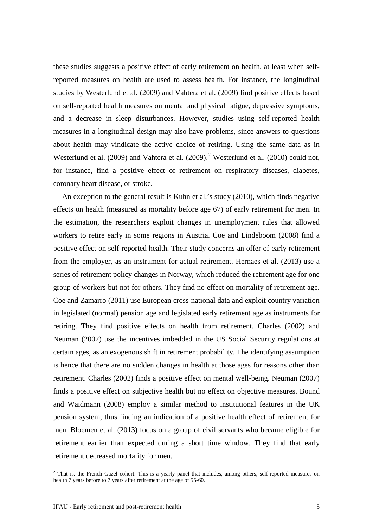these studies suggests a positive effect of early retirement on health, at least when selfreported measures on health are used to assess health. For instance, the longitudinal studies by Westerlund et al. (2009) and Vahtera et al. (2009) find positive effects based on self-reported health measures on mental and physical fatigue, depressive symptoms, and a decrease in sleep disturbances. However, studies using self-reported health measures in a longitudinal design may also have problems, since answers to questions about health may vindicate the active choice of retiring. Using the same data as in Westerlund et al. ([2](#page-6-0)009) and Vahtera et al. (2009),<sup>2</sup> Westerlund et al. (2010) could not, for instance, find a positive effect of retirement on respiratory diseases, diabetes, coronary heart disease, or stroke.

An exception to the general result is Kuhn et al.'s study (2010), which finds negative effects on health (measured as mortality before age 67) of early retirement for men. In the estimation, the researchers exploit changes in unemployment rules that allowed workers to retire early in some regions in Austria. Coe and Lindeboom (2008) find a positive effect on self-reported health. Their study concerns an offer of early retirement from the employer, as an instrument for actual retirement. Hernaes et al. (2013) use a series of retirement policy changes in Norway, which reduced the retirement age for one group of workers but not for others. They find no effect on mortality of retirement age. Coe and Zamarro (2011) use European cross-national data and exploit country variation in legislated (normal) pension age and legislated early retirement age as instruments for retiring. They find positive effects on health from retirement. Charles (2002) and Neuman (2007) use the incentives imbedded in the US Social Security regulations at certain ages, as an exogenous shift in retirement probability. The identifying assumption is hence that there are no sudden changes in health at those ages for reasons other than retirement. Charles (2002) finds a positive effect on mental well-being. Neuman (2007) finds a positive effect on subjective health but no effect on objective measures. Bound and Waidmann (2008) employ a similar method to institutional features in the UK pension system, thus finding an indication of a positive health effect of retirement for men. Bloemen et al. (2013) focus on a group of civil servants who became eligible for retirement earlier than expected during a short time window. They find that early retirement decreased mortality for men.

<span id="page-6-0"></span><sup>&</sup>lt;sup>2</sup> That is, the French Gazel cohort. This is a yearly panel that includes, among others, self-reported measures on health 7 years before to 7 years after retirement at the age of 55-60.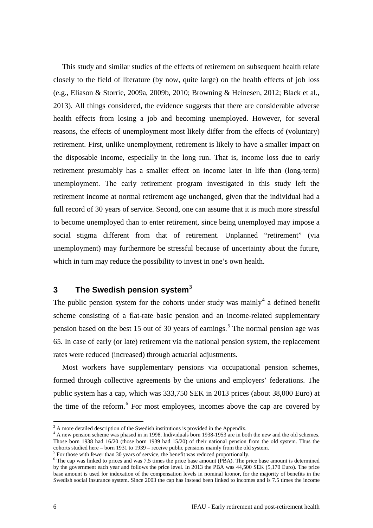This study and similar studies of the effects of retirement on subsequent health relate closely to the field of literature (by now, quite large) on the health effects of job loss (e.g., Eliason & Storrie, 2009a, 2009b, 2010; Browning & Heinesen, 2012; Black et al., 2013). All things considered, the evidence suggests that there are considerable adverse health effects from losing a job and becoming unemployed. However, for several reasons, the effects of unemployment most likely differ from the effects of (voluntary) retirement. First, unlike unemployment, retirement is likely to have a smaller impact on the disposable income, especially in the long run. That is, income loss due to early retirement presumably has a smaller effect on income later in life than (long-term) unemployment. The early retirement program investigated in this study left the retirement income at normal retirement age unchanged, given that the individual had a full record of 30 years of service. Second, one can assume that it is much more stressful to become unemployed than to enter retirement, since being unemployed may impose a social stigma different from that of retirement. Unplanned "retirement" (via unemployment) may furthermore be stressful because of uncertainty about the future, which in turn may reduce the possibility to invest in one's own health.

# <span id="page-7-0"></span>**3 The Swedish pension system[3](#page-7-1)**

The public pension system for the cohorts under study was mainly<sup>[4](#page-7-2)</sup> a defined benefit scheme consisting of a flat-rate basic pension and an income-related supplementary pension based on the best 1[5](#page-7-3) out of 30 years of earnings.<sup>5</sup> The normal pension age was 65. In case of early (or late) retirement via the national pension system, the replacement rates were reduced (increased) through actuarial adjustments.

Most workers have supplementary pensions via occupational pension schemes, formed through collective agreements by the unions and employers' federations. The public system has a cap, which was 333,750 SEK in 2013 prices (about 38,000 Euro) at the time of the reform.<sup>[6](#page-7-4)</sup> For most employees, incomes above the cap are covered by

<span id="page-7-1"></span><sup>&</sup>lt;sup>3</sup> A more detailed description of the Swedish institutions is provided in the Appendix.

<span id="page-7-2"></span><sup>&</sup>lt;sup>4</sup> A new pension scheme was phased in in 1998. Individuals born 1938-1953 are in both the new and the old schemes. Those born 1938 had 16/20 (those born 1939 had 15/20) of their national pension from the old system. Thus the cohorts studied here – born 1931 to 1939 – receive public pensions mainly from the old system.

<span id="page-7-4"></span><span id="page-7-3"></span> $<sup>5</sup>$  For those with fewer than 30 years of service, the benefit was reduced proportionally.<br><sup>6</sup> The cap was linked to prices and was 7.5 times the price base amount (PBA). The price base amount is determined</sup> by the government each year and follows the price level. In 2013 the PBA was 44,500 SEK (5,170 Euro). The price base amount is used for indexation of the compensation levels in nominal kronor, for the majority of benefits in the Swedish social insurance system. Since 2003 the cap has instead been linked to incomes and is 7.5 times the income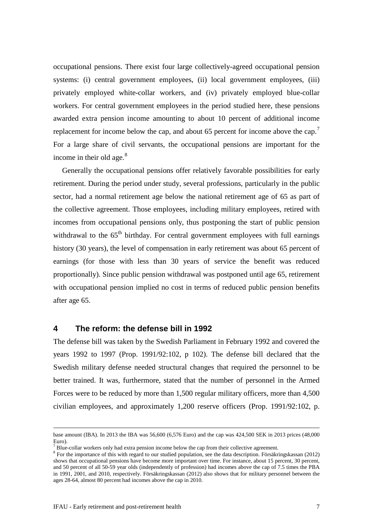occupational pensions. There exist four large collectively-agreed occupational pension systems: (i) central government employees, (ii) local government employees, (iii) privately employed white-collar workers, and (iv) privately employed blue-collar workers. For central government employees in the period studied here, these pensions awarded extra pension income amounting to about 10 percent of additional income replacement for income below the cap, and about 65 percent for income above the cap.<sup>[7](#page-8-1)</sup> For a large share of civil servants, the occupational pensions are important for the income in their old age. $8$ 

Generally the occupational pensions offer relatively favorable possibilities for early retirement. During the period under study, several professions, particularly in the public sector, had a normal retirement age below the national retirement age of 65 as part of the collective agreement. Those employees, including military employees, retired with incomes from occupational pensions only, thus postponing the start of public pension withdrawal to the  $65<sup>th</sup>$  birthday. For central government employees with full earnings history (30 years), the level of compensation in early retirement was about 65 percent of earnings (for those with less than 30 years of service the benefit was reduced proportionally). Since public pension withdrawal was postponed until age 65, retirement with occupational pension implied no cost in terms of reduced public pension benefits after age 65.

# <span id="page-8-0"></span>**4 The reform: the defense bill in 1992**

The defense bill was taken by the Swedish Parliament in February 1992 and covered the years 1992 to 1997 (Prop. 1991/92:102, p 102). The defense bill declared that the Swedish military defense needed structural changes that required the personnel to be better trained. It was, furthermore, stated that the number of personnel in the Armed Forces were to be reduced by more than 1,500 regular military officers, more than 4,500 civilian employees, and approximately 1,200 reserve officers (Prop. 1991/92:102, p.

base amount (IBA). In 2013 the IBA was 56,600 (6,576 Euro) and the cap was 424,500 SEK in 2013 prices (48,000 Euro).

<span id="page-8-2"></span><span id="page-8-1"></span><sup>&</sup>lt;sup>7</sup> Blue-collar workers only had extra pension income below the cap from their collective agreement.  $8$  For the importance of this with regard to our studied population, see the data description. Försäkringskassan (2012) shows that occupational pensions have become more important over time. For instance, about 15 percent, 30 percent, and 50 percent of all 50-59 year olds (independently of profession) had incomes above the cap of 7.5 times the PBA in 1991, 2001, and 2010, respectively. Försäkringskassan (2012) also shows that for military personnel between the ages 28-64, almost 80 percent had incomes above the cap in 2010.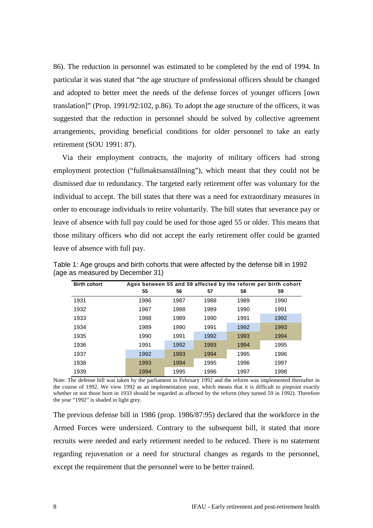86). The reduction in personnel was estimated to be completed by the end of 1994. In particular it was stated that "the age structure of professional officers should be changed and adopted to better meet the needs of the defense forces of younger officers [own translation]" (Prop. 1991/92:102, p.86). To adopt the age structure of the officers, it was suggested that the reduction in personnel should be solved by collective agreement arrangements, providing beneficial conditions for older personnel to take an early retirement (SOU 1991: 87).

Via their employment contracts, the majority of military officers had strong employment protection ("fullmaktsanställning"), which meant that they could not be dismissed due to redundancy. The targeted early retirement offer was voluntary for the individual to accept. The bill states that there was a need for extraordinary measures in order to encourage individuals to retire voluntarily. The bill states that severance pay or leave of absence with full pay could be used for those aged 55 or older. This means that those military officers who did not accept the early retirement offer could be granted leave of absence with full pay.

| <b>Birth cohort</b> |      |      |      |      | Ages between 55 and 59 affected by the reform per birth cohort |
|---------------------|------|------|------|------|----------------------------------------------------------------|
|                     | 55   | 56   | 57   | 58   | 59                                                             |
| 1931                | 1986 | 1987 | 1988 | 1989 | 1990                                                           |
| 1932                | 1987 | 1988 | 1989 | 1990 | 1991                                                           |
| 1933                | 1988 | 1989 | 1990 | 1991 | 1992                                                           |
| 1934                | 1989 | 1990 | 1991 | 1992 | 1993                                                           |
| 1935                | 1990 | 1991 | 1992 | 1993 | 1994                                                           |
| 1936                | 1991 | 1992 | 1993 | 1994 | 1995                                                           |
| 1937                | 1992 | 1993 | 1994 | 1995 | 1996                                                           |
| 1938                | 1993 | 1994 | 1995 | 1996 | 1997                                                           |
| 1939                | 1994 | 1995 | 1996 | 1997 | 1998                                                           |

<span id="page-9-0"></span>Table 1: Age groups and birth cohorts that were affected by the defense bill in 1992 (age as measured by December 31)

Note: The defense bill was taken by the parliament in February 1992 and the reform was implemented thereafter in the course of 1992. We view 1992 as an implementation year, which means that it is difficult to pinpoint exactly whether or not those born in 1933 should be regarded as affected by the reform (they turned 59 in 1992). Therefore the year "1992" is shaded in light grey.

The previous defense bill in 1986 (prop. 1986/87:95) declared that the workforce in the Armed Forces were undersized. Contrary to the subsequent bill, it stated that more recruits were needed and early retirement needed to be reduced. There is no statement regarding rejuvenation or a need for structural changes as regards to the personnel, except the requirement that the personnel were to be better trained.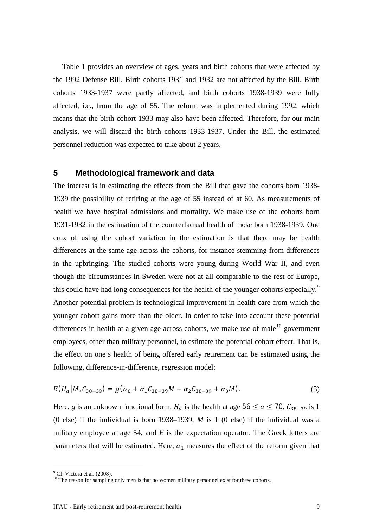[Table 1](#page-9-0) provides an overview of ages, years and birth cohorts that were affected by the 1992 Defense Bill. Birth cohorts 1931 and 1932 are not affected by the Bill. Birth cohorts 1933-1937 were partly affected, and birth cohorts 1938-1939 were fully affected, i.e., from the age of 55. The reform was implemented during 1992, which means that the birth cohort 1933 may also have been affected. Therefore, for our main analysis, we will discard the birth cohorts 1933-1937. Under the Bill, the estimated personnel reduction was expected to take about 2 years.

# <span id="page-10-0"></span>**5 Methodological framework and data**

The interest is in estimating the effects from the Bill that gave the cohorts born 1938- 1939 the possibility of retiring at the age of 55 instead of at 60. As measurements of health we have hospital admissions and mortality. We make use of the cohorts born 1931-1932 in the estimation of the counterfactual health of those born 1938-1939. One crux of using the cohort variation in the estimation is that there may be health differences at the same age across the cohorts, for instance stemming from differences in the upbringing. The studied cohorts were young during World War II, and even though the circumstances in Sweden were not at all comparable to the rest of Europe, this could have had long consequences for the health of the younger cohorts especially.<sup>[9](#page-10-1)</sup> Another potential problem is technological improvement in health care from which the younger cohort gains more than the older. In order to take into account these potential differences in health at a given age across cohorts, we make use of male $10$  government employees, other than military personnel, to estimate the potential cohort effect. That is, the effect on one's health of being offered early retirement can be estimated using the following, difference-in-difference, regression model:

$$
E(H_a|M, C_{38-39}) = g(\alpha_0 + \alpha_1 C_{38-39}M + \alpha_2 C_{38-39} + \alpha_3 M). \tag{3}
$$

Here, *g* is an unknown functional form,  $H_a$  is the health at age 56  $\le a \le 70$ ,  $C_{38-39}$  is 1 (0 else) if the individual is born 1938–1939, *M* is 1 (0 else) if the individual was a military employee at age 54, and *E* is the expectation operator. The Greek letters are parameters that will be estimated. Here,  $\alpha_1$  measures the effect of the reform given that

 $\frac{9}{9}$  Cf. Victora et al. (2008).

<span id="page-10-2"></span><span id="page-10-1"></span> $10$  The reason for sampling only men is that no women military personnel exist for these cohorts.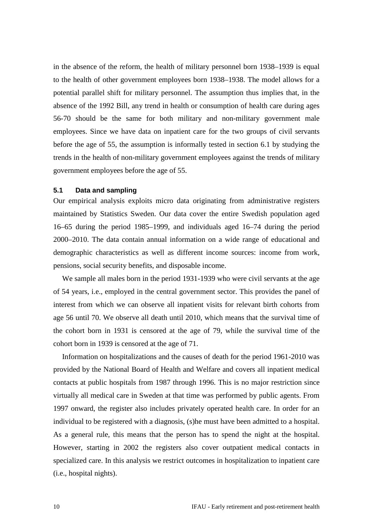in the absence of the reform, the health of military personnel born 1938–1939 is equal to the health of other government employees born 1938–1938. The model allows for a potential parallel shift for military personnel. The assumption thus implies that, in the absence of the 1992 Bill, any trend in health or consumption of health care during ages 56-70 should be the same for both military and non-military government male employees. Since we have data on inpatient care for the two groups of civil servants before the age of 55, the assumption is informally tested in section [6.1](#page-14-1) by studying the trends in the health of non-military government employees against the trends of military government employees before the age of 55.

#### <span id="page-11-0"></span>**5.1 Data and sampling**

Our empirical analysis exploits micro data originating from administrative registers maintained by Statistics Sweden. Our data cover the entire Swedish population aged 16–65 during the period 1985–1999, and individuals aged 16–74 during the period 2000–2010. The data contain annual information on a wide range of educational and demographic characteristics as well as different income sources: income from work, pensions, social security benefits, and disposable income.

We sample all males born in the period 1931-1939 who were civil servants at the age of 54 years, i.e., employed in the central government sector. This provides the panel of interest from which we can observe all inpatient visits for relevant birth cohorts from age 56 until 70. We observe all death until 2010, which means that the survival time of the cohort born in 1931 is censored at the age of 79, while the survival time of the cohort born in 1939 is censored at the age of 71.

Information on hospitalizations and the causes of death for the period 1961-2010 was provided by the National Board of Health and Welfare and covers all inpatient medical contacts at public hospitals from 1987 through 1996. This is no major restriction since virtually all medical care in Sweden at that time was performed by public agents. From 1997 onward, the register also includes privately operated health care. In order for an individual to be registered with a diagnosis, (s)he must have been admitted to a hospital. As a general rule, this means that the person has to spend the night at the hospital. However, starting in 2002 the registers also cover outpatient medical contacts in specialized care. In this analysis we restrict outcomes in hospitalization to inpatient care (i.e., hospital nights).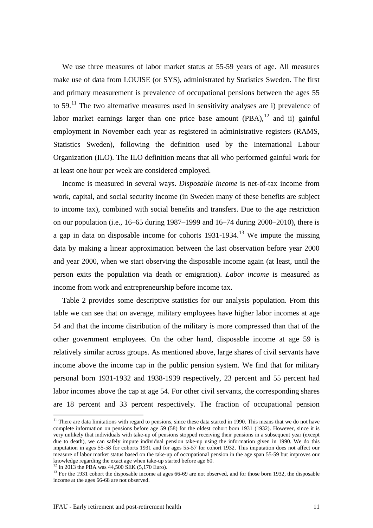We use three measures of labor market status at 55-59 years of age. All measures make use of data from LOUISE (or SYS), administrated by Statistics Sweden. The first and primary measurement is prevalence of occupational pensions between the ages 55 to  $59$ .<sup>[11](#page-12-0)</sup> The two alternative measures used in sensitivity analyses are i) prevalence of labor market earnings larger than one price base amount  $(PBA)$ ,  $12$  and ii) gainful employment in November each year as registered in administrative registers (RAMS, Statistics Sweden), following the definition used by the International Labour Organization (ILO). The ILO definition means that all who performed gainful work for at least one hour per week are considered employed.

Income is measured in several ways. *Disposable income* is net-of-tax income from work, capital, and social security income (in Sweden many of these benefits are subject to income tax), combined with social benefits and transfers. Due to the age restriction on our population (i.e., 16–65 during 1987–1999 and 16–74 during 2000–2010), there is a gap in data on disposable income for cohorts  $1931-1934$ .<sup>[13](#page-12-2)</sup> We impute the missing data by making a linear approximation between the last observation before year 2000 and year 2000, when we start observing the disposable income again (at least, until the person exits the population via death or emigration). *Labor income* is measured as income from work and entrepreneurship before income tax.

[Table 2](#page-13-0) provides some descriptive statistics for our analysis population. From this table we can see that on average, military employees have higher labor incomes at age 54 and that the income distribution of the military is more compressed than that of the other government employees. On the other hand, disposable income at age 59 is relatively similar across groups. As mentioned above, large shares of civil servants have income above the income cap in the public pension system. We find that for military personal born 1931-1932 and 1938-1939 respectively, 23 percent and 55 percent had labor incomes above the cap at age 54. For other civil servants, the corresponding shares are 18 percent and 33 percent respectively. The fraction of occupational pension

<span id="page-12-0"></span> $11$  There are data limitations with regard to pensions, since these data started in 1990. This means that we do not have complete information on pensions before age 59 (58) for the oldest cohort born 1931 (1932). However, since it is very unlikely that individuals with take-up of pensions stopped receiving their pensions in a subsequent year (except due to death), we can safely impute individual pension take-up using the information given in 1990. We do this imputation in ages 55-58 for cohorts 1931 and for ages 55-57 for cohort 1932. This imputation does not affect our measure of labor market status based on the take-up of occupational pension in the age span 55-59 but improves our knowledge regarding the exact age when take-up started before age 60.

<span id="page-12-2"></span><span id="page-12-1"></span><sup>&</sup>lt;sup>12</sup> In 2013 the PBA was 44,500 SEK (5,170 Euro).<br><sup>13</sup> For the 1931 cohort the disposable income at ages 66-69 are not observed, and for those born 1932, the disposable income at the ages 66-68 are not observed.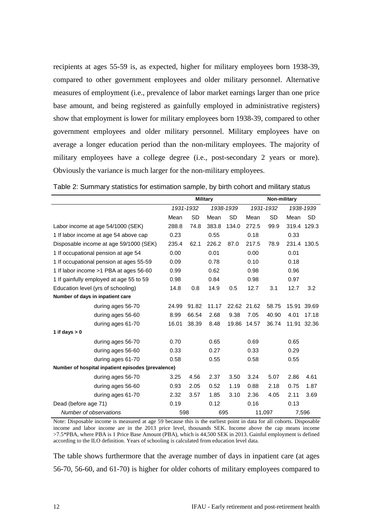recipients at ages 55-59 is, as expected, higher for military employees born 1938-39, compared to other government employees and older military personnel. Alternative measures of employment (i.e., prevalence of labor market earnings larger than one price base amount, and being registered as gainfully employed in administrative registers) show that employment is lower for military employees born 1938-39, compared to other government employees and older military personnel. Military employees have on average a longer education period than the non-military employees. The majority of military employees have a college degree (i.e., post-secondary 2 years or more). Obviously the variance is much larger for the non-military employees.

|                                                    | <b>Military</b> |           |       | Non-military |             |           |      |             |
|----------------------------------------------------|-----------------|-----------|-------|--------------|-------------|-----------|------|-------------|
|                                                    |                 | 1931-1932 |       | 1938-1939    | 1931-1932   |           |      | 1938-1939   |
|                                                    | Mean            | <b>SD</b> | Mean  | <b>SD</b>    | Mean        | <b>SD</b> | Mean | <b>SD</b>   |
| Labor income at age 54/1000 (SEK)                  | 288.8           | 74.8      | 383.8 | 134.0        | 272.5       | 99.9      |      | 319.4 129.3 |
| 1 If labor income at age 54 above cap              | 0.23            |           | 0.55  |              | 0.18        |           | 0.33 |             |
| Disposable income at age 59/1000 (SEK)             | 235.4           | 62.1      | 226.2 | 87.0         | 217.5       | 78.9      |      | 231.4 130.5 |
| 1 If occupational pension at age 54                | 0.00            |           | 0.01  |              | 0.00        |           | 0.01 |             |
| 1 If occupational pension at ages 55-59            | 0.09            |           | 0.78  |              | 0.10        |           | 0.18 |             |
| 1 If labor income > 1 PBA at ages 56-60            | 0.99            |           | 0.62  |              | 0.98        |           | 0.96 |             |
| 1 If gainfully employed at age 55 to 59            | 0.98            |           | 0.84  |              | 0.98        |           | 0.97 |             |
| Education level (yrs of schooling)                 | 14.8            | 0.8       | 14.9  | 0.5          | 12.7        | 3.1       | 12.7 | 3.2         |
| Number of days in inpatient care                   |                 |           |       |              |             |           |      |             |
| during ages 56-70                                  | 24.99           | 91.82     | 11.17 |              | 22.62 21.62 | 58.75     |      | 15.91 39.69 |
| during ages 56-60                                  | 8.99            | 66.54     | 2.68  | 9.38         | 7.05        | 40.90     | 4.01 | 17.18       |
| during ages 61-70                                  | 16.01           | 38.39     | 8.48  | 19.86        | 14.57       | 36.74     |      | 11.91 32.36 |
| 1 if days $> 0$                                    |                 |           |       |              |             |           |      |             |
| during ages 56-70                                  | 0.70            |           | 0.65  |              | 0.69        |           | 0.65 |             |
| during ages 56-60                                  | 0.33            |           | 0.27  |              | 0.33        |           | 0.29 |             |
| during ages 61-70                                  | 0.58            |           | 0.55  |              | 0.58        |           | 0.55 |             |
| Number of hospital inpatient episodes (prevalence) |                 |           |       |              |             |           |      |             |
| during ages 56-70                                  | 3.25            | 4.56      | 2.37  | 3.50         | 3.24        | 5.07      | 2.86 | 4.61        |
| during ages 56-60                                  | 0.93            | 2.05      | 0.52  | 1.19         | 0.88        | 2.18      | 0.75 | 1.87        |
| during ages 61-70                                  | 2.32            | 3.57      | 1.85  | 3.10         | 2.36        | 4.05      | 2.11 | 3.69        |
| Dead (before age 71)                               | 0.19            |           | 0.12  |              | 0.16        |           | 0.13 |             |
| Number of observations                             | 598             |           | 695   |              |             | 11,097    |      | 7,596       |

<span id="page-13-0"></span>Table 2: Summary statistics for estimation sample, by birth cohort and military status

Note: Disposable income is measured at age 59 because this is the earliest point in data for all cohorts. Disposable income and labor income are in the 2013 price level, thousands SEK. Income above the cap means income >7.5\*PBA, where PBA is 1 Price Base Amount (PBA), which is 44,500 SEK in 2013. Gainful employment is defined according to the ILO definition. Years of schooling is calculated from education level data.

The table shows furthermore that the average number of days in inpatient care (at ages 56-70, 56-60, and 61-70) is higher for older cohorts of military employees compared to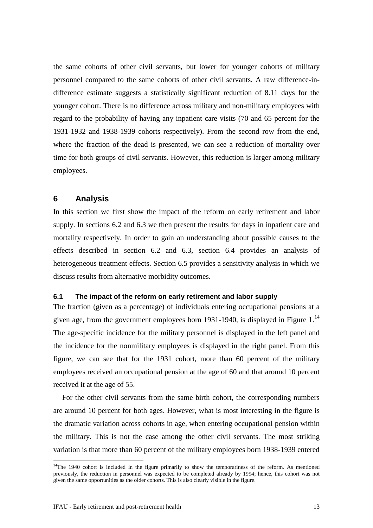the same cohorts of other civil servants, but lower for younger cohorts of military personnel compared to the same cohorts of other civil servants. A raw difference-indifference estimate suggests a statistically significant reduction of 8.11 days for the younger cohort. There is no difference across military and non-military employees with regard to the probability of having any inpatient care visits (70 and 65 percent for the 1931-1932 and 1938-1939 cohorts respectively). From the second row from the end, where the fraction of the dead is presented, we can see a reduction of mortality over time for both groups of civil servants. However, this reduction is larger among military employees.

# <span id="page-14-0"></span>**6 Analysis**

In this section we first show the impact of the reform on early retirement and labor supply. In sections 6.2 and 6.3 we then present the results for days in inpatient care and mortality respectively. In order to gain an understanding about possible causes to the effects described in section 6.2 and 6.3, section 6.4 provides an analysis of heterogeneous treatment effects. Section 6.5 provides a sensitivity analysis in which we discuss results from alternative morbidity outcomes.

#### <span id="page-14-1"></span>**6.1 The impact of the reform on early retirement and labor supply**

The fraction (given as a percentage) of individuals entering occupational pensions at a given age, from the government employees born 1931-1940, is displayed in [Figure 1.](#page-15-0)<sup>[14](#page-14-2)</sup> The age-specific incidence for the military personnel is displayed in the left panel and the incidence for the nonmilitary employees is displayed in the right panel. From this figure, we can see that for the 1931 cohort, more than 60 percent of the military employees received an occupational pension at the age of 60 and that around 10 percent received it at the age of 55.

For the other civil servants from the same birth cohort, the corresponding numbers are around 10 percent for both ages. However, what is most interesting in the figure is the dramatic variation across cohorts in age, when entering occupational pension within the military. This is not the case among the other civil servants. The most striking variation is that more than 60 percent of the military employees born 1938-1939 entered

<span id="page-14-2"></span> $14$ The 1940 cohort is included in the figure primarily to show the temporariness of the reform. As mentioned previously, the reduction in personnel was expected to be completed already by 1994; hence, this cohort was not given the same opportunities as the older cohorts. This is also clearly visible in the figure.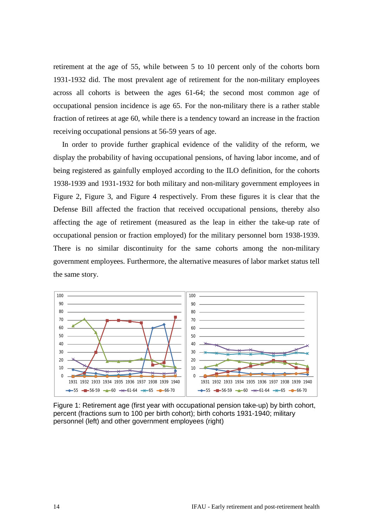retirement at the age of 55, while between 5 to 10 percent only of the cohorts born 1931-1932 did. The most prevalent age of retirement for the non-military employees across all cohorts is between the ages 61-64; the second most common age of occupational pension incidence is age 65. For the non-military there is a rather stable fraction of retirees at age 60, while there is a tendency toward an increase in the fraction receiving occupational pensions at 56-59 years of age.

In order to provide further graphical evidence of the validity of the reform, we display the probability of having occupational pensions, of having labor income, and of being registered as gainfully employed according to the ILO definition, for the cohorts 1938-1939 and 1931-1932 for both military and non-military government employees in [Figure 2,](#page-16-0) [Figure 3,](#page-16-1) and [Figure 4](#page-16-2) respectively. From these figures it is clear that the Defense Bill affected the fraction that received occupational pensions, thereby also affecting the age of retirement (measured as the leap in either the take-up rate of occupational pension or fraction employed) for the military personnel born 1938-1939. There is no similar discontinuity for the same cohorts among the non-military government employees. Furthermore, the alternative measures of labor market status tell the same story.



<span id="page-15-0"></span>Figure 1: Retirement age (first year with occupational pension take-up) by birth cohort, percent (fractions sum to 100 per birth cohort); birth cohorts 1931-1940; military personnel (left) and other government employees (right)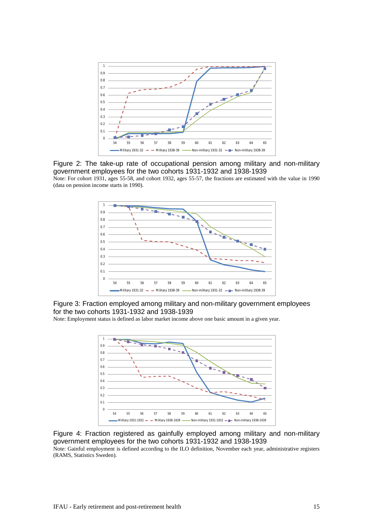

<span id="page-16-0"></span>Figure 2: The take-up rate of occupational pension among military and non-military government employees for the two cohorts 1931-1932 and 1938-1939

Note: For cohort 1931, ages 55-58, and cohort 1932, ages 55-57, the fractions are estimated with the value in 1990 (data on pension income starts in 1990).



<span id="page-16-1"></span>Figure 3: Fraction employed among military and non-military government employees for the two cohorts 1931-1932 and 1938-1939

Note: Employment status is defined as labor market income above one basic amount in a given year.



<span id="page-16-2"></span>Figure 4: Fraction registered as gainfully employed among military and non-military government employees for the two cohorts 1931-1932 and 1938-1939

Note: Gainful employment is defined according to the ILO definition, November each year, administrative registers (RAMS, Statistics Sweden).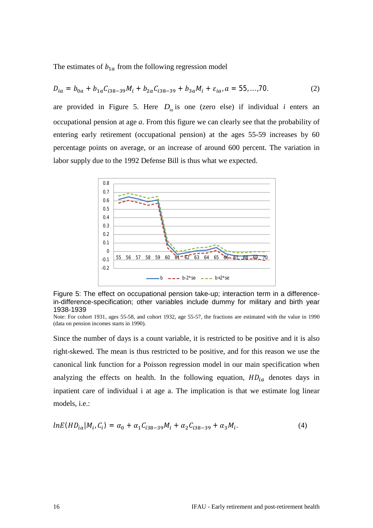The estimates of  $b_{1a}$  from the following regression model

$$
D_{ia} = b_{0a} + b_{1a}C_{i38-39}M_i + b_{2a}C_{i38-39} + b_{3a}M_i + \varepsilon_{ia}, a = 55,...,70.
$$
 (2)

are provided in [Figure 5.](#page-17-0) Here  $D_{iq}$  is one (zero else) if individual *i* enters an occupational pension at age *a*. From this figure we can clearly see that the probability of entering early retirement (occupational pension) at the ages 55-59 increases by 60 percentage points on average, or an increase of around 600 percent. The variation in labor supply due to the 1992 Defense Bill is thus what we expected.



<span id="page-17-0"></span>Figure 5: The effect on occupational pension take-up; interaction term in a differencein-difference-specification; other variables include dummy for military and birth year 1938-1939

Since the number of days is a count variable, it is restricted to be positive and it is also right-skewed. The mean is thus restricted to be positive, and for this reason we use the canonical link function for a Poisson regression model in our main specification when analyzing the effects on health. In the following equation,  $HD_{ia}$  denotes days in inpatient care of individual i at age a. The implication is that we estimate log linear models, i.e.:

$$
lnE(HD_{ia}|M_i, C_i) = \alpha_0 + \alpha_1 C_{i38-39}M_i + \alpha_2 C_{i38-39} + \alpha_3 M_i.
$$
 (4)

Note: For cohort 1931, ages 55-58, and cohort 1932, age 55-57, the fractions are estimated with the value in 1990 (data on pension incomes starts in 1990).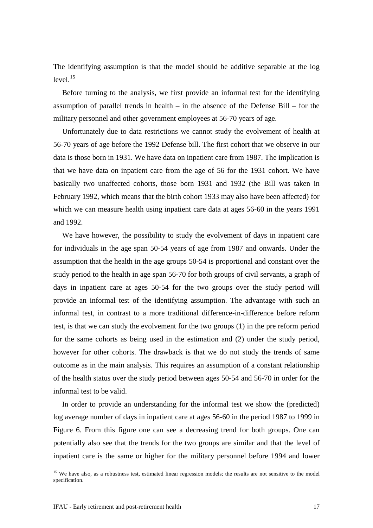The identifying assumption is that the model should be additive separable at the log level.<sup>[15](#page-18-0)</sup>

Before turning to the analysis, we first provide an informal test for the identifying assumption of parallel trends in health – in the absence of the Defense Bill – for the military personnel and other government employees at 56-70 years of age.

Unfortunately due to data restrictions we cannot study the evolvement of health at 56-70 years of age before the 1992 Defense bill. The first cohort that we observe in our data is those born in 1931. We have data on inpatient care from 1987. The implication is that we have data on inpatient care from the age of 56 for the 1931 cohort. We have basically two unaffected cohorts, those born 1931 and 1932 (the Bill was taken in February 1992, which means that the birth cohort 1933 may also have been affected) for which we can measure health using inpatient care data at ages 56-60 in the years 1991 and 1992.

We have however, the possibility to study the evolvement of days in inpatient care for individuals in the age span 50-54 years of age from 1987 and onwards. Under the assumption that the health in the age groups 50-54 is proportional and constant over the study period to the health in age span 56-70 for both groups of civil servants, a graph of days in inpatient care at ages 50-54 for the two groups over the study period will provide an informal test of the identifying assumption. The advantage with such an informal test, in contrast to a more traditional difference-in-difference before reform test, is that we can study the evolvement for the two groups (1) in the pre reform period for the same cohorts as being used in the estimation and (2) under the study period, however for other cohorts. The drawback is that we do not study the trends of same outcome as in the main analysis. This requires an assumption of a constant relationship of the health status over the study period between ages 50-54 and 56-70 in order for the informal test to be valid.

In order to provide an understanding for the informal test we show the (predicted) log average number of days in inpatient care at ages 56-60 in the period 1987 to 1999 in [Figure 6.](#page-19-0) From this figure one can see a decreasing trend for both groups. One can potentially also see that the trends for the two groups are similar and that the level of inpatient care is the same or higher for the military personnel before 1994 and lower

<span id="page-18-0"></span><sup>&</sup>lt;sup>15</sup> We have also, as a robustness test, estimated linear regression models; the results are not sensitive to the model specification.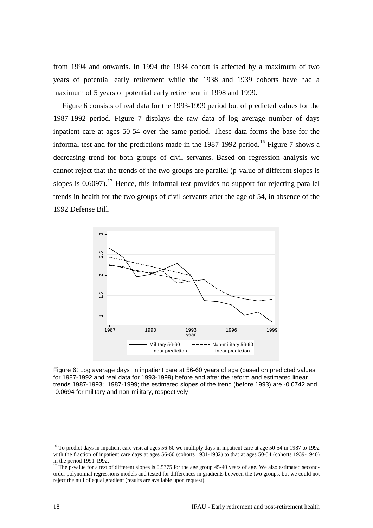from 1994 and onwards. In 1994 the 1934 cohort is affected by a maximum of two years of potential early retirement while the 1938 and 1939 cohorts have had a maximum of 5 years of potential early retirement in 1998 and 1999.

[Figure 6](#page-19-0) consists of real data for the 1993-1999 period but of predicted values for the 1987-1992 period. [Figure 7](#page-20-0) displays the raw data of log average number of days inpatient care at ages 50-54 over the same period. These data forms the base for the informal test and for the predictions made in the  $1987-1992$  period.<sup>[16](#page-19-1)</sup> [Figure 7](#page-20-0) shows a decreasing trend for both groups of civil servants. Based on regression analysis we cannot reject that the trends of the two groups are parallel (p-value of different slopes is slopes is  $0.6097$ ).<sup>[17](#page-19-2)</sup> Hence, this informal test provides no support for rejecting parallel trends in health for the two groups of civil servants after the age of 54, in absence of the 1992 Defense Bill.



<span id="page-19-0"></span>Figure 6: Log average days in inpatient care at 56-60 years of age (based on predicted values for 1987-1992 and real data for 1993-1999) before and after the reform and estimated linear trends 1987-1993; 1987-1999; the estimated slopes of the trend (before 1993) are -0.0742 and -0.0694 for military and non-military, respectively

<span id="page-19-1"></span><sup>&</sup>lt;sup>16</sup> To predict days in inpatient care visit at ages 56-60 we multiply days in inpatient care at age 50-54 in 1987 to 1992 with the fraction of inpatient care days at ages 56-60 (cohorts 1931-1932) to that at ages 50-54 (cohorts 1939-1940) in the period 1991-1992.

<span id="page-19-2"></span><sup>&</sup>lt;sup>17</sup> The p-value for a test of different slopes is 0.5375 for the age group 45-49 years of age. We also estimated secondorder polynomial regressions models and tested for differences in gradients between the two groups, but we could not reject the null of equal gradient (results are available upon request).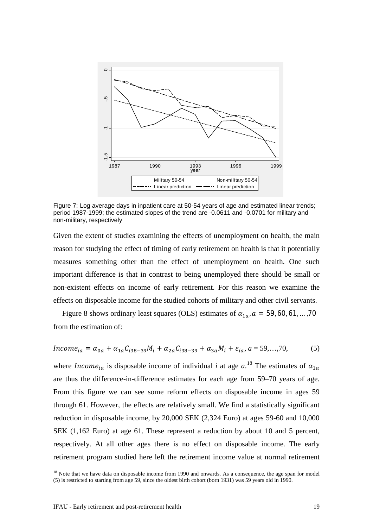

<span id="page-20-0"></span>Figure 7: Log average days in inpatient care at 50-54 years of age and estimated linear trends; period 1987-1999; the estimated slopes of the trend are -0.0611 and -0.0701 for military and non-military, respectively

Given the extent of studies examining the effects of unemployment on health, the main reason for studying the effect of timing of early retirement on health is that it potentially measures something other than the effect of unemployment on health. One such important difference is that in contrast to being unemployed there should be small or non-existent effects on income of early retirement. For this reason we examine the effects on disposable income for the studied cohorts of military and other civil servants.

[Figure 8](#page-21-1) shows ordinary least squares (OLS) estimates of  $\alpha_{1a}$ ,  $a = 59, 60, 61, \dots, 70$ from the estimation of:

$$
Income_{ia} = \alpha_{0a} + \alpha_{1a}C_{i38-39}M_i + \alpha_{2a}C_{i38-39} + \alpha_{3a}M_i + \varepsilon_{ia}, a = 59,...,70,
$$
 (5)

where *Income<sub>ia</sub>* is disposable income of individual *i* at age  $a$ .<sup>[18](#page-20-1)</sup> The estimates of  $\alpha_{1a}$ are thus the difference-in-difference estimates for each age from 59–70 years of age. From this figure we can see some reform effects on disposable income in ages 59 through 61. However, the effects are relatively small. We find a statistically significant reduction in disposable income, by 20,000 SEK (2,324 Euro) at ages 59-60 and 10,000 SEK (1,162 Euro) at age 61. These represent a reduction by about 10 and 5 percent, respectively. At all other ages there is no effect on disposable income. The early retirement program studied here left the retirement income value at normal retirement

<span id="page-20-1"></span><sup>&</sup>lt;sup>18</sup> Note that we have data on disposable income from 1990 and onwards. As a consequence, the age span for model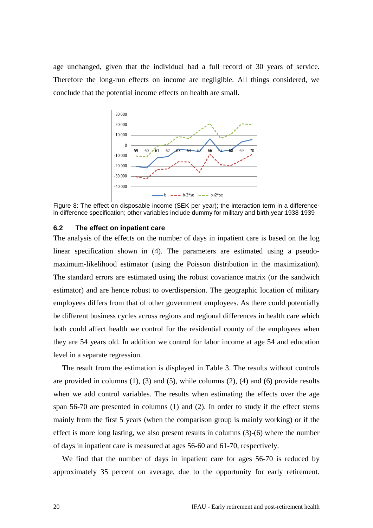age unchanged, given that the individual had a full record of 30 years of service. Therefore the long-run effects on income are negligible. All things considered, we conclude that the potential income effects on health are small.



<span id="page-21-1"></span>Figure 8: The effect on disposable income (SEK per year); the interaction term in a differencein-difference specification; other variables include dummy for military and birth year 1938-1939

#### <span id="page-21-0"></span>**6.2 The effect on inpatient care**

The analysis of the effects on the number of days in inpatient care is based on the log linear specification shown in (4). The parameters are estimated using a pseudomaximum-likelihood estimator (using the Poisson distribution in the maximization). The standard errors are estimated using the robust covariance matrix (or the sandwich estimator) and are hence robust to overdispersion. The geographic location of military employees differs from that of other government employees. As there could potentially be different business cycles across regions and regional differences in health care which both could affect health we control for the residential county of the employees when they are 54 years old. In addition we control for labor income at age 54 and education level in a separate regression.

The result from the estimation is displayed in [Table 3.](#page-22-0) The results without controls are provided in columns  $(1)$ ,  $(3)$  and  $(5)$ , while columns  $(2)$ ,  $(4)$  and  $(6)$  provide results when we add control variables. The results when estimating the effects over the age span 56-70 are presented in columns (1) and (2). In order to study if the effect stems mainly from the first 5 years (when the comparison group is mainly working) or if the effect is more long lasting, we also present results in columns (3)-(6) where the number of days in inpatient care is measured at ages 56-60 and 61-70, respectively.

We find that the number of days in inpatient care for ages 56-70 is reduced by approximately 35 percent on average, due to the opportunity for early retirement.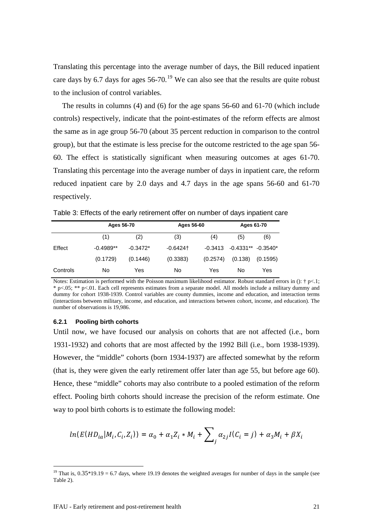Translating this percentage into the average number of days, the Bill reduced inpatient care days by 6.7 days for ages  $56-70$ .<sup>[19](#page-22-1)</sup> We can also see that the results are quite robust to the inclusion of control variables.

The results in columns (4) and (6) for the age spans 56-60 and 61-70 (which include controls) respectively, indicate that the point-estimates of the reform effects are almost the same as in age group 56-70 (about 35 percent reduction in comparison to the control group), but that the estimate is less precise for the outcome restricted to the age span 56- 60. The effect is statistically significant when measuring outcomes at ages 61-70. Translating this percentage into the average number of days in inpatient care, the reform reduced inpatient care by 2.0 days and 4.7 days in the age spans 56-60 and 61-70 respectively.

<span id="page-22-0"></span>Table 3: Effects of the early retirement offer on number of days inpatient care

|          | Ages 56-70  |            | Ages 56-60 |                   | Ages 61-70  |            |  |
|----------|-------------|------------|------------|-------------------|-------------|------------|--|
|          | (1)         | (2)        | (3)        | $\left( 4\right)$ | (5)         | (6)        |  |
| Effect   | $-0.4989**$ | $-0.3472*$ | $-0.6424$  | $-0.3413$         | $-0.4331**$ | $-0.3540*$ |  |
|          | (0.1729)    | (0.1446)   | (0.3383)   | (0.2574)          | (0.138)     | (0.1595)   |  |
| Controls | No          | Yes        | No         | Yes               | No          | Yes        |  |

Notes: Estimation is performed with the Poisson maximum likelihood estimator. Robust standard errors in  $()$ : † p<.1; \* p<.05; \*\* p<.01. Each cell represents estimates from a separate model. All models include a military dummy and dummy for cohort 1938-1939. Control variables are county dummies, income and education, and interaction terms (interactions between military, income, and education, and interactions between cohort, income, and education). The number of observations is 19,986.

#### **6.2.1 Pooling birth cohorts**

Until now, we have focused our analysis on cohorts that are not affected (i.e., born 1931-1932) and cohorts that are most affected by the 1992 Bill (i.e., born 1938-1939). However, the "middle" cohorts (born 1934-1937) are affected somewhat by the reform (that is, they were given the early retirement offer later than age 55, but before age 60). Hence, these "middle" cohorts may also contribute to a pooled estimation of the reform effect. Pooling birth cohorts should increase the precision of the reform estimate. One way to pool birth cohorts is to estimate the following model:

$$
ln(E(HD_{ia}|M_i,C_i,Z_i)) = \alpha_0 + \alpha_1 Z_i * M_i + \sum_j \alpha_{2j} I(C_i = j) + \alpha_3 M_i + \beta X_i
$$

<span id="page-22-1"></span><sup>&</sup>lt;sup>19</sup> That is,  $0.35*19.19 = 6.7$  days, where 19.19 denotes the weighted averages for number of days in the sample (see Table 2).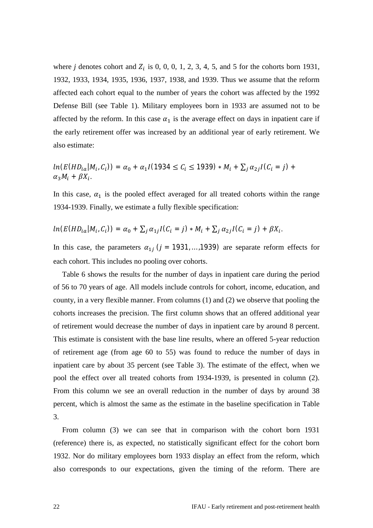where *j* denotes cohort and  $Z_i$  is 0, 0, 0, 1, 2, 3, 4, 5, and 5 for the cohorts born 1931, 1932, 1933, 1934, 1935, 1936, 1937, 1938, and 1939. Thus we assume that the reform affected each cohort equal to the number of years the cohort was affected by the 1992 Defense Bill (see [Table 1\)](#page-9-0). Military employees born in 1933 are assumed not to be affected by the reform. In this case  $\alpha_1$  is the average effect on days in inpatient care if the early retirement offer was increased by an additional year of early retirement. We also estimate:

$$
ln(E(HD_{ia}|M_i, C_i)) = \alpha_0 + \alpha_1 I(1934 \le C_i \le 1939) * M_i + \sum_j \alpha_{2j} I(C_i = j) + \alpha_3 M_i + \beta X_i.
$$

In this case,  $\alpha_1$  is the pooled effect averaged for all treated cohorts within the range 1934-1939. Finally, we estimate a fully flexible specification:

$$
ln(E(HD_{ia}|M_i,C_i)) = \alpha_0 + \sum_j \alpha_{1j} I(C_i = j) * M_i + \sum_j \alpha_{2j} I(C_i = j) + \beta X_i.
$$

In this case, the parameters  $\alpha_{1i}$  ( $j = 1931, \ldots, 1939$ ) are separate reform effects for each cohort. This includes no pooling over cohorts.

[Table 6](#page-27-0) shows the results for the number of days in inpatient care during the period of 56 to 70 years of age. All models include controls for cohort, income, education, and county, in a very flexible manner. From columns (1) and (2) we observe that pooling the cohorts increases the precision. The first column shows that an offered additional year of retirement would decrease the number of days in inpatient care by around 8 percent. This estimate is consistent with the base line results, where an offered 5-year reduction of retirement age (from age 60 to 55) was found to reduce the number of days in inpatient care by about 35 percent (see [Table 3\)](#page-22-0). The estimate of the effect, when we pool the effect over all treated cohorts from 1934-1939, is presented in column (2). From this column we see an overall reduction in the number of days by around 38 percent, which is almost the same as the estimate in the baseline specification in [Table](#page-22-0)  [3.](#page-22-0)

From column (3) we can see that in comparison with the cohort born 1931 (reference) there is, as expected, no statistically significant effect for the cohort born 1932. Nor do military employees born 1933 display an effect from the reform, which also corresponds to our expectations, given the timing of the reform. There are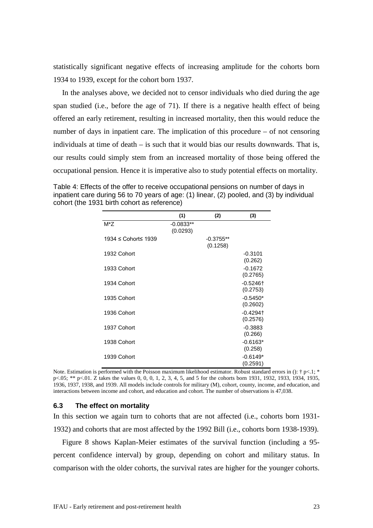statistically significant negative effects of increasing amplitude for the cohorts born 1934 to 1939, except for the cohort born 1937.

In the analyses above, we decided not to censor individuals who died during the age span studied (i.e., before the age of 71). If there is a negative health effect of being offered an early retirement, resulting in increased mortality, then this would reduce the number of days in inpatient care. The implication of this procedure – of not censoring individuals at time of death – is such that it would bias our results downwards. That is, our results could simply stem from an increased mortality of those being offered the occupational pension. Hence it is imperative also to study potential effects on mortality.

Table 4: Effects of the offer to receive occupational pensions on number of days in inpatient care during 56 to 70 years of age: (1) linear, (2) pooled, and (3) by individual cohort (the 1931 birth cohort as reference)

|                     | (1)                     | (2)                     | (3)                                |
|---------------------|-------------------------|-------------------------|------------------------------------|
| $M^*Z$              | $-0.0833**$<br>(0.0293) |                         |                                    |
| 1934 ≤ Cohort≤ 1939 |                         | $-0.3755**$<br>(0.1258) |                                    |
| 1932 Cohort         |                         |                         | $-0.3101$<br>(0.262)               |
| 1933 Cohort         |                         |                         | $-0.1672$<br>(0.2765)              |
| 1934 Cohort         |                         |                         | $-0.5246$ <sup>+</sup><br>(0.2753) |
| 1935 Cohort         |                         |                         | $-0.5450*$<br>(0.2602)             |
| 1936 Cohort         |                         |                         | $-0.4294$ <sup>+</sup><br>(0.2576) |
| 1937 Cohort         |                         |                         | $-0.3883$<br>(0.266)               |
| 1938 Cohort         |                         |                         | $-0.6163*$<br>(0.258)              |
| 1939 Cohort         |                         |                         | $-0.6149*$<br>(0.2591)             |

Note. Estimation is performed with the Poisson maximum likelihood estimator. Robust standard errors in ():  $\dagger$  p<.1;  $*$ p<.05; \*\* p<.01. Z takes the values 0, 0, 0, 1, 2, 3, 4, 5, and 5 for the cohorts born 1931, 1932, 1933, 1934, 1935, 1936, 1937, 1938, and 1939. All models include controls for military (M), cohort, county, income, and education, and interactions between income and cohort, and education and cohort. The number of observations is 47,038.

#### <span id="page-24-0"></span>**6.3 The effect on mortality**

In this section we again turn to cohorts that are not affected (i.e., cohorts born 1931- 1932) and cohorts that are most affected by the 1992 Bill (i.e., cohorts born 1938-1939).

[Figure 8](#page-21-1) shows Kaplan-Meier estimates of the survival function (including a 95 percent confidence interval) by group, depending on cohort and military status. In comparison with the older cohorts, the survival rates are higher for the younger cohorts.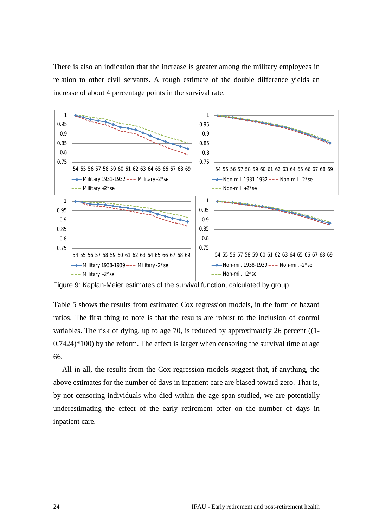There is also an indication that the increase is greater among the military employees in relation to other civil servants. A rough estimate of the double difference yields an increase of about 4 percentage points in the survival rate.



<span id="page-25-0"></span>Figure 9: Kaplan-Meier estimates of the survival function, calculated by group

[Table 5](#page-26-1) shows the results from estimated Cox regression models, in the form of hazard ratios. The first thing to note is that the results are robust to the inclusion of control variables. The risk of dying, up to age 70, is reduced by approximately 26 percent ((1-  $0.7424$ <sup> $*$ </sup> $100$ ) by the reform. The effect is larger when censoring the survival time at age 66.

All in all, the results from the Cox regression models suggest that, if anything, the above estimates for the number of days in inpatient care are biased toward zero. That is, by not censoring individuals who died within the age span studied, we are potentially underestimating the effect of the early retirement offer on the number of days in inpatient care.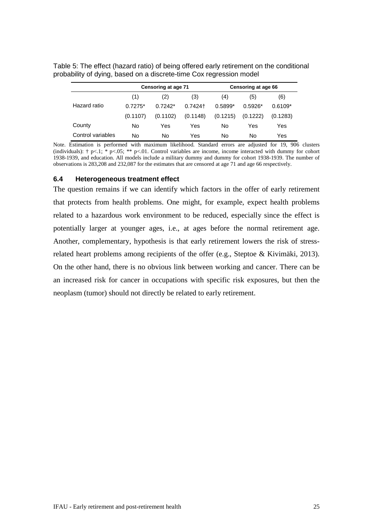|                   |           | Censoring at age 71 |            |           | Censoring at age 66 |           |
|-------------------|-----------|---------------------|------------|-----------|---------------------|-----------|
|                   | (1)       | (2)                 | (3)        | (4)       | (5)                 | (6)       |
| Hazard ratio      | $0.7275*$ | $0.7242*$           | $0.7424 +$ | $0.5899*$ | $0.5926*$           | $0.6109*$ |
|                   | (0.1107)  | (0.1102)            | (0.1148)   | (0.1215)  | (0.1222)            | (0.1283)  |
| County            | No        | Yes                 | Yes        | No        | Yes                 | Yes       |
| Control variables | No        | No                  | Yes        | No        | No                  | Yes       |

<span id="page-26-1"></span>Table 5: The effect (hazard ratio) of being offered early retirement on the conditional probability of dying, based on a discrete-time Cox regression model

Note. Estimation is performed with maximum likelihood. Standard errors are adjusted for 19, 906 clusters (individuals):  $\uparrow$  p<.1; \* p<.05; \*\* p<.01. Control variables are income, income interacted with dummy for cohort 1938-1939, and education. All models include a military dummy and dummy for cohort 1938-1939. The number of observations is 283,208 and 232,087 for the estimates that are censored at age 71 and age 66 respectively.

#### <span id="page-26-0"></span>**6.4 Heterogeneous treatment effect**

The question remains if we can identify which factors in the offer of early retirement that protects from health problems. One might, for example, expect health problems related to a hazardous work environment to be reduced, especially since the effect is potentially larger at younger ages, i.e., at ages before the normal retirement age. Another, complementary, hypothesis is that early retirement lowers the risk of stressrelated heart problems among recipients of the offer (e.g., Steptoe & Kivimäki, 2013). On the other hand, there is no obvious link between working and cancer. There can be an increased risk for cancer in occupations with specific risk exposures, but then the neoplasm (tumor) should not directly be related to early retirement.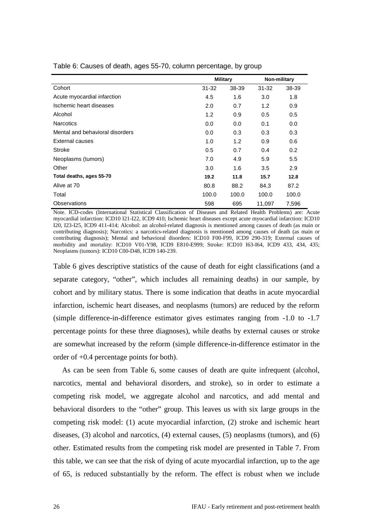|                                 | Military |       | Non-military |       |
|---------------------------------|----------|-------|--------------|-------|
| Cohort                          | 31-32    | 38-39 | $31 - 32$    | 38-39 |
| Acute myocardial infarction     | 4.5      | 1.6   | 3.0          | 1.8   |
| Ischemic heart diseases         | 2.0      | 0.7   | 1.2          | 0.9   |
| Alcohol                         | 1.2      | 0.9   | 0.5          | 0.5   |
| <b>Narcotics</b>                | 0.0      | 0.0   | 0.1          | 0.0   |
| Mental and behavioral disorders | 0.0      | 0.3   | 0.3          | 0.3   |
| External causes                 | 1.0      | 1.2   | 0.9          | 0.6   |
| Stroke                          | 0.5      | 0.7   | 0.4          | 0.2   |
| Neoplasms (tumors)              | 7.0      | 4.9   | 5.9          | 5.5   |
| Other                           | 3.0      | 1.6   | 3.5          | 2.9   |
| Total deaths, ages 55-70        | 19.2     | 11.8  | 15.7         | 12.8  |
| Alive at 70                     | 80.8     | 88.2  | 84.3         | 87.2  |
| Total                           | 100.0    | 100.0 | 100.0        | 100.0 |
| Observations                    | 598      | 695   | 11,097       | 7,596 |

<span id="page-27-0"></span>Table 6: Causes of death, ages 55-70, column percentage, by group

Note. ICD-codes (International Statistical Classification of Diseases and Related Health Problems) are: Acute myocardial infarction: ICD10 I21-I22, ICD9 410; Ischemic heart diseases except acute myocardial infarction: ICD10 I20, I23-I25, ICD9 411-414; Alcohol: an alcohol-related diagnosis is mentioned among causes of death (as main or contributing diagnosis); Narcotics: a narcotics-related diagnosis is mentioned among causes of death (as main or contributing diagnosis); Mental and behavioral disorders: ICD10 F00-F99, ICD9 290-319; External causes of morbidity and mortality: ICD10 V01-Y98, ICD9 E810-E999; Stroke: ICD10 I63-I64, ICD9 433, 434, 435; Neoplasms (tumors): ICD10 C00-D48, ICD9 140-239.

[Table 6](#page-27-0) gives descriptive statistics of the cause of death for eight classifications (and a separate category, "other", which includes all remaining deaths) in our sample, by cohort and by military status. There is some indication that deaths in acute myocardial infarction, ischemic heart diseases, and neoplasms (tumors) are reduced by the reform (simple difference-in-difference estimator gives estimates ranging from -1.0 to -1.7 percentage points for these three diagnoses), while deaths by external causes or stroke are somewhat increased by the reform (simple difference-in-difference estimator in the order of +0.4 percentage points for both).

As can be seen from [Table 6,](#page-27-0) some causes of death are quite infrequent (alcohol, narcotics, mental and behavioral disorders, and stroke), so in order to estimate a competing risk model, we aggregate alcohol and narcotics, and add mental and behavioral disorders to the "other" group. This leaves us with six large groups in the competing risk model: (1) acute myocardial infarction, (2) stroke and ischemic heart diseases, (3) alcohol and narcotics, (4) external causes, (5) neoplasms (tumors), and (6) other. Estimated results from the competing risk model are presented in [Table 7.](#page-28-0) From this table, we can see that the risk of dying of acute myocardial infarction, up to the age of 65, is reduced substantially by the reform. The effect is robust when we include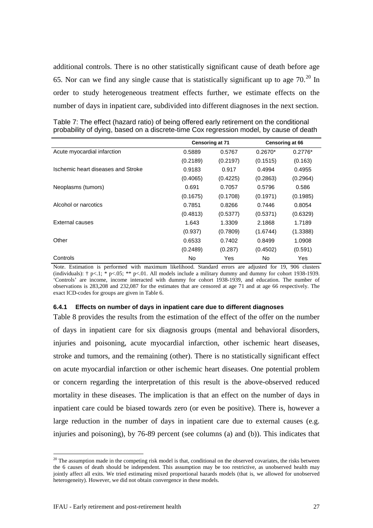additional controls. There is no other statistically significant cause of death before age 65. Nor can we find any single cause that is statistically significant up to age  $70^{20}$  $70^{20}$  $70^{20}$  In order to study heterogeneous treatment effects further, we estimate effects on the number of days in inpatient care, subdivided into different diagnoses in the next section.

|                                    | Censoring at 71 |          | Censoring at 66 |           |
|------------------------------------|-----------------|----------|-----------------|-----------|
| Acute myocardial infarction        | 0.5889          | 0.5767   | $0.2670*$       | $0.2776*$ |
|                                    | (0.2189)        | (0.2197) | (0.1515)        | (0.163)   |
| Ischemic heart diseases and Stroke | 0.9183          | 0.917    | 0.4994          | 0.4955    |
|                                    | (0.4065)        | (0.4225) | (0.2863)        | (0.2964)  |
| Neoplasms (tumors)                 | 0.691           | 0.7057   | 0.5796          | 0.586     |
|                                    | (0.1675)        | (0.1708) | (0.1971)        | (0.1985)  |
| Alcohol or narcotics               | 0.7851          | 0.8266   | 0.7446          | 0.8054    |
|                                    | (0.4813)        | (0.5377) | (0.5371)        | (0.6329)  |
| External causes                    | 1.643           | 1.3309   | 2.1868          | 1.7189    |
|                                    | (0.937)         | (0.7809) | (1.6744)        | (1.3388)  |
| Other                              | 0.6533          | 0.7402   | 0.8499          | 1.0908    |
|                                    | (0.2489)        | (0.287)  | (0.4502)        | (0.591)   |
| Controls                           | No              | Yes      | No              | Yes       |

<span id="page-28-0"></span>Table 7: The effect (hazard ratio) of being offered early retirement on the conditional probability of dying, based on a discrete-time Cox regression model, by cause of death

Note. Estimation is performed with maximum likelihood. Standard errors are adjusted for 19, 906 clusters (individuals):  $\uparrow$  p<.1;  $\uparrow$  p<.05; \*\* p<.01. All models include a military dummy and dummy for cohort 1938-1939. 'Controls' are income, income interacted with dummy for cohort 1938-1939, and education. The number of observations is 283,208 and 232,087 for the estimates that are censored at age 71 and at age 66 respectively. The exact ICD-codes for groups are given i[n Table 6.](#page-27-0)

#### **6.4.1 Effects on number of days in inpatient care due to different diagnoses**

[Table 8](#page-29-0) provides the results from the estimation of the effect of the offer on the number of days in inpatient care for six diagnosis groups (mental and behavioral disorders, injuries and poisoning, acute myocardial infarction, other ischemic heart diseases, stroke and tumors, and the remaining (other). There is no statistically significant effect on acute myocardial infarction or other ischemic heart diseases. One potential problem or concern regarding the interpretation of this result is the above-observed reduced mortality in these diseases. The implication is that an effect on the number of days in inpatient care could be biased towards zero (or even be positive). There is, however a large reduction in the number of days in inpatient care due to external causes (e.g. injuries and poisoning), by 76-89 percent (see columns (a) and (b)). This indicates that

<span id="page-28-1"></span> $20$  The assumption made in the competing risk model is that, conditional on the observed covariates, the risks between the 6 causes of death should be independent. This assumption may be too restrictive, as unobserved health may jointly affect all exits. We tried estimating mixed proportional hazards models (that is, we allowed for unobserved heterogeneity). However, we did not obtain convergence in these models.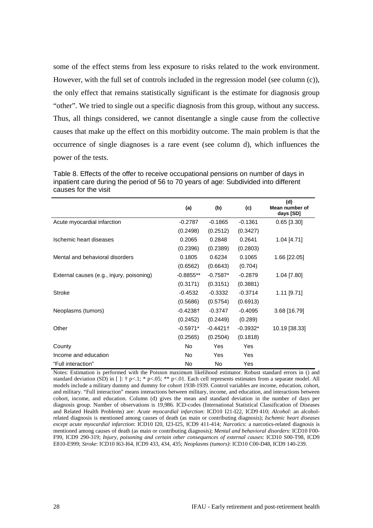some of the effect stems from less exposure to risks related to the work environment. However, with the full set of controls included in the regression model (see column (c)), the only effect that remains statistically significant is the estimate for diagnosis group "other". We tried to single out a specific diagnosis from this group, without any success. Thus, all things considered, we cannot disentangle a single cause from the collective causes that make up the effect on this morbidity outcome. The main problem is that the occurrence of single diagnoses is a rare event (see column d), which influences the power of the tests.

<span id="page-29-0"></span>Table 8. Effects of the offer to receive occupational pensions on number of days in inpatient care during the period of 56 to 70 years of age: Subdivided into different causes for the visit

|                                           | (a)          | (b)        | (c)        | (d)<br>Mean number of<br>days [SD] |
|-------------------------------------------|--------------|------------|------------|------------------------------------|
| Acute myocardial infarction               | $-0.2787$    | $-0.1865$  | $-0.1361$  | $0.65$ [3.30]                      |
|                                           | (0.2498)     | (0.2512)   | (0.3427)   |                                    |
| Ischemic heart diseases                   | 0.2065       | 0.2848     | 0.2641     | $1.04$ [4.71]                      |
|                                           | (0.2396)     | (0.2389)   | (0.2803)   |                                    |
| Mental and behavioral disorders           | 0.1805       | 0.6234     | 0.1065     | 1.66 [22.05]                       |
|                                           | (0.6562)     | (0.6643)   | (0.704)    |                                    |
| External causes (e.g., injury, poisoning) | $-0.8855$ ** | $-0.7587*$ | $-0.2879$  | 1.04 [7.80]                        |
|                                           | (0.3171)     | (0.3151)   | (0.3881)   |                                    |
| <b>Stroke</b>                             | $-0.4532$    | $-0.3332$  | $-0.3714$  | $1.11$ [9.71]                      |
|                                           | (0.5686)     | (0.5754)   | (0.6913)   |                                    |
| Neoplasms (tumors)                        | -0.4238†     | $-0.3747$  | $-0.4095$  | 3.68 [16.79]                       |
|                                           | (0.2452)     | (0.2449)   | (0.289)    |                                    |
| Other                                     | $-0.5971*$   | $-0.4421$  | $-0.3932*$ | 10.19 [38.33]                      |
|                                           | (0.2565)     | (0.2504)   | (0.1818)   |                                    |
| County                                    | <b>No</b>    | Yes        | Yes        |                                    |
| Income and education                      | No.          | Yes        | Yes        |                                    |
| "Full interaction"                        | <b>No</b>    | No.        | Yes        |                                    |

Notes: Estimation is performed with the Poisson maximum likelihood estimator. Robust standard errors in () and standard deviation (SD) in []:  $\uparrow$  p<.1; \* p<.05; \*\* p<.01. Each cell represents estimates from a separate model. All models include a military dummy and dummy for cohort 1938-1939. Control variables are income, education, cohort, and military. "Full interaction" means interactions between military, income, and education, and interactions between cohort, income, and education. Column (d) gives the mean and standard deviation in the number of days per diagnosis group. Number of observations is 19,986. ICD-codes (International Statistical Classification of Diseases and Related Health Problems) are: *Acute myocardial infarction*: ICD10 I21-I22, ICD9 410; *Alcohol*: an alcoholrelated diagnosis is mentioned among causes of death (as main or contributing diagnosis); *Ischemic heart diseases except acute myocardial infarction*: ICD10 I20, I23-I25, ICD9 411-414; *Narcotics*: a narcotics-related diagnosis is mentioned among causes of death (as main or contributing diagnosis); *Mental and behavioral disorders*: ICD10 F00- F99, ICD9 290-319; *Injury, poisoning and certain other consequences of external causes*: ICD10 S00-T98, ICD9 E810-E999; *Stroke*: ICD10 I63-I64, ICD9 433, 434, 435; *Neoplasms (tumors)*: ICD10 C00-D48, ICD9 140-239.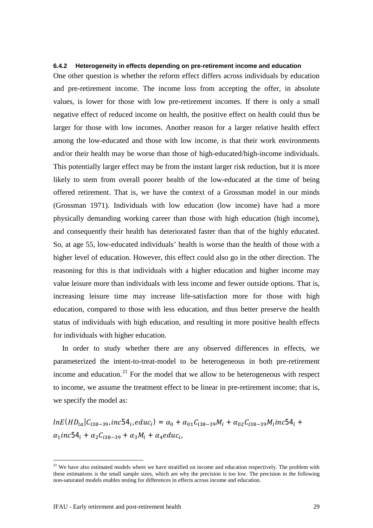#### **6.4.2 Heterogeneity in effects depending on pre-retirement income and education**

One other question is whether the reform effect differs across individuals by education and pre-retirement income. The income loss from accepting the offer, in absolute values, is lower for those with low pre-retirement incomes. If there is only a small negative effect of reduced income on health, the positive effect on health could thus be larger for those with low incomes. Another reason for a larger relative health effect among the low-educated and those with low income, is that their work environments and/or their health may be worse than those of high-educated/high-income individuals. This potentially larger effect may be from the instant larger risk reduction, but it is more likely to stem from overall poorer health of the low-educated at the time of being offered retirement. That is, we have the context of a Grossman model in our minds (Grossman 1971). Individuals with low education (low income) have had a more physically demanding working career than those with high education (high income), and consequently their health has deteriorated faster than that of the highly educated. So, at age 55, low-educated individuals' health is worse than the health of those with a higher level of education. However, this effect could also go in the other direction. The reasoning for this is that individuals with a higher education and higher income may value leisure more than individuals with less income and fewer outside options. That is, increasing leisure time may increase life-satisfaction more for those with high education, compared to those with less education, and thus better preserve the health status of individuals with high education, and resulting in more positive health effects for individuals with higher education.

In order to study whether there are any observed differences in effects, we parameterized the intent-to-treat-model to be heterogeneous in both pre-retirement income and education.<sup>[21](#page-30-0)</sup> For the model that we allow to be heterogeneous with respect to income, we assume the treatment effect to be linear in pre-retirement income; that is, we specify the model as:

 $ln E(HD_{ia}|C_{i38-39}, inc54_i, educ_i) = \alpha_0 + \alpha_{01}C_{i38-39}M_i + \alpha_{02}C_{i38-39}M_iinc54_i +$  $\alpha_1$ inc54<sub>i</sub> +  $\alpha_2 C_{i38-39} + \alpha_3 M_i + \alpha_4$ educ<sub>i</sub>,

<span id="page-30-0"></span> $21$  We have also estimated models where we have stratified on income and education respectively. The problem with these estimations is the small sample sizes, which are why the precision is too low. The precision in the following non-saturated models enables testing for differences in effects across income and education.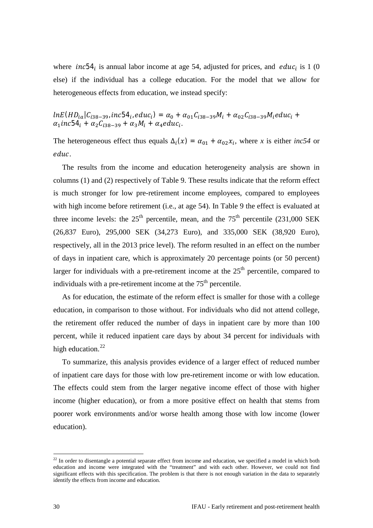where *inc*54<sub>i</sub> is annual labor income at age 54, adjusted for prices, and *educ*<sub>i</sub> is 1 (0) else) if the individual has a college education. For the model that we allow for heterogeneous effects from education, we instead specify:

$$
lnE(HD_{ia}|C_{i38-39},inc54_i,educ_i) = \alpha_0 + \alpha_{01}C_{i38-39}M_i + \alpha_{02}C_{i38-39}M_ieduc_i + \alpha_1inc54_i + \alpha_2C_{i38-39} + \alpha_3M_i + \alpha_4educ_i.
$$

The heterogeneous effect thus equals  $\Delta_i(x) = \alpha_{01} + \alpha_{02}x_i$ , where *x* is either *inc54* or educ.

The results from the income and education heterogeneity analysis are shown in columns (1) and (2) respectively of [Table 9.](#page-32-2) These results indicate that the reform effect is much stronger for low pre-retirement income employees, compared to employees with high income before retirement (i.e., at age 54). In [Table 9](#page-32-2) the effect is evaluated at three income levels: the  $25<sup>th</sup>$  percentile, mean, and the  $75<sup>th</sup>$  percentile (231,000 SEK) (26,837 Euro), 295,000 SEK (34,273 Euro), and 335,000 SEK (38,920 Euro), respectively, all in the 2013 price level). The reform resulted in an effect on the number of days in inpatient care, which is approximately 20 percentage points (or 50 percent) larger for individuals with a pre-retirement income at the  $25<sup>th</sup>$  percentile, compared to individuals with a pre-retirement income at the  $75<sup>th</sup>$  percentile.

As for education, the estimate of the reform effect is smaller for those with a college education, in comparison to those without. For individuals who did not attend college, the retirement offer reduced the number of days in inpatient care by more than 100 percent, while it reduced inpatient care days by about 34 percent for individuals with high education.<sup>[22](#page-31-0)</sup>

To summarize, this analysis provides evidence of a larger effect of reduced number of inpatient care days for those with low pre-retirement income or with low education. The effects could stem from the larger negative income effect of those with higher income (higher education), or from a more positive effect on health that stems from poorer work environments and/or worse health among those with low income (lower education).

<span id="page-31-0"></span><sup>&</sup>lt;sup>22</sup> In order to disentangle a potential separate effect from income and education, we specified a model in which both education and income were integrated with the "treatment" and with each other. However, we could not find significant effects with this specification. The problem is that there is not enough variation in the data to separately identify the effects from income and education.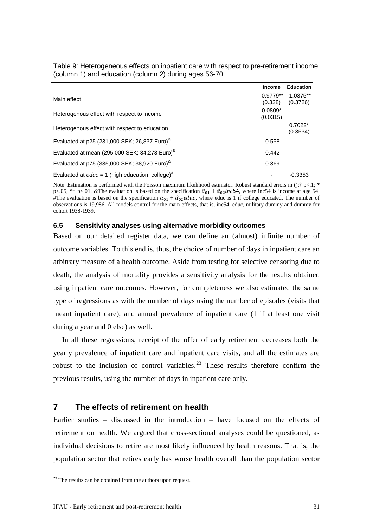|                                                                | <b>Income</b> | <b>Education</b>      |
|----------------------------------------------------------------|---------------|-----------------------|
| Main effect                                                    |               | $-0.9779**$ -1.0375** |
|                                                                | (0.328)       | (0.3726)              |
| Heterogenous effect with respect to income                     | $0.0809*$     |                       |
|                                                                | (0.0315)      |                       |
| Heterogenous effect with respect to education                  |               | $0.7022*$             |
|                                                                |               | (0.3534)              |
| Evaluated at p25 (231,000 SEK; 26,837 Euro) <sup>&amp;</sup>   | $-0.558$      | ٠                     |
| Evaluated at mean (295,000 SEK; 34,273 Euro) <sup>&amp;</sup>  | $-0.442$      |                       |
| Evaluated at p75 (335,000 SEK; 38,920 Euro) <sup>&amp;</sup>   | $-0.369$      | ٠                     |
| Evaluated at $educ = 1$ (high education, college) <sup>#</sup> |               | $-0.3353$             |

<span id="page-32-2"></span>Table 9: Heterogeneous effects on inpatient care with respect to pre-retirement income (column 1) and education (column 2) during ages 56-70

Note: Estimation is performed with the Poisson maximum likelihood estimator. Robust standard errors in (): $\uparrow$  p<.1; \* p<.05; \*\* p<.01. &The evaluation is based on the specification  $\hat{a}_{01} + \hat{a}_{02}$  inc54, where inc54 is income at age 54. #The evaluation is based on the specification  $\hat{\alpha}_{01} + \hat{\alpha}_{02}$  educ, where educ is 1 if college educated. The number of observations is 19,986. All models control for the main effects, that is, inc54, educ, military dummy and dummy for cohort 1938-1939.

#### <span id="page-32-0"></span>**6.5 Sensitivity analyses using alternative morbidity outcomes**

Based on our detailed register data, we can define an (almost) infinite number of outcome variables. To this end is, thus, the choice of number of days in inpatient care an arbitrary measure of a health outcome. Aside from testing for selective censoring due to death, the analysis of mortality provides a sensitivity analysis for the results obtained using inpatient care outcomes. However, for completeness we also estimated the same type of regressions as with the number of days using the number of episodes (visits that meant inpatient care), and annual prevalence of inpatient care (1 if at least one visit during a year and 0 else) as well.

In all these regressions, receipt of the offer of early retirement decreases both the yearly prevalence of inpatient care and inpatient care visits, and all the estimates are robust to the inclusion of control variables.<sup>[23](#page-32-3)</sup> These results therefore confirm the previous results, using the number of days in inpatient care only.

# <span id="page-32-1"></span>**7 The effects of retirement on health**

Earlier studies – discussed in the introduction – have focused on the effects of retirement on health. We argued that cross-sectional analyses could be questioned, as individual decisions to retire are most likely influenced by health reasons. That is, the population sector that retires early has worse health overall than the population sector

<span id="page-32-3"></span><sup>&</sup>lt;sup>23</sup> The results can be obtained from the authors upon request.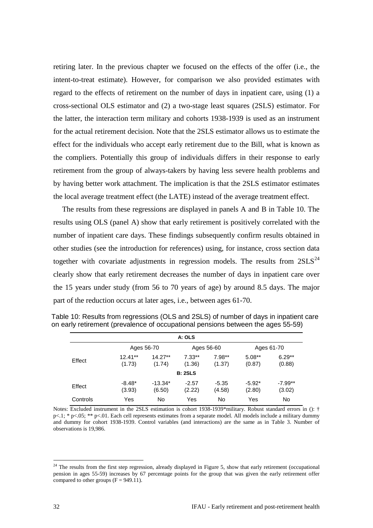retiring later. In the previous chapter we focused on the effects of the offer (i.e., the intent-to-treat estimate). However, for comparison we also provided estimates with regard to the effects of retirement on the number of days in inpatient care, using (1) a cross-sectional OLS estimator and (2) a two-stage least squares (2SLS) estimator. For the latter, the interaction term military and cohorts 1938-1939 is used as an instrument for the actual retirement decision. Note that the 2SLS estimator allows us to estimate the effect for the individuals who accept early retirement due to the Bill, what is known as the compliers. Potentially this group of individuals differs in their response to early retirement from the group of always-takers by having less severe health problems and by having better work attachment. The implication is that the 2SLS estimator estimates the local average treatment effect (the LATE) instead of the average treatment effect.

The results from these regressions are displayed in panels A and B in [Table 10.](#page-33-0) The results using OLS (panel A) show that early retirement is positively correlated with the number of inpatient care days. These findings subsequently confirm results obtained in other studies (see the introduction for references) using, for instance, cross section data together with covariate adjustments in regression models. The results from  $2SLS^{24}$  $2SLS^{24}$  $2SLS^{24}$ clearly show that early retirement decreases the number of days in inpatient care over the 15 years under study (from 56 to 70 years of age) by around 8.5 days. The major part of the reduction occurs at later ages, i.e., between ages 61-70.

|          |                     |                     | A: OLS             |                    |                    |                     |
|----------|---------------------|---------------------|--------------------|--------------------|--------------------|---------------------|
|          |                     | Ages 56-70          |                    | Ages 56-60         |                    | Ages 61-70          |
| Effect   | $12.41**$<br>(1.73) | $14.27**$<br>(1.74) | $7.33**$<br>(1.36) | $7.98**$<br>(1.37) | $5.08**$<br>(0.87) | $6.29**$<br>(0.88)  |
|          |                     |                     | <b>B: 2SLS</b>     |                    |                    |                     |
| Effect   | $-8.48*$<br>(3.93)  | $-13.34*$<br>(6.50) | $-2.57$<br>(2.22)  | $-5.35$<br>(4.58)  | $-5.92*$<br>(2.80) | $-7.99**$<br>(3.02) |
| Controls | Yes                 | No                  | Yes                | No                 | Yes                | No                  |

<span id="page-33-0"></span>Table 10: Results from regressions (OLS and 2SLS) of number of days in inpatient care on early retirement (prevalence of occupational pensions between the ages 55-59)

Notes: Excluded instrument in the 2SLS estimation is cohort 1938-1939\*military. Robust standard errors in (): † p<.1; \* p<.05; \*\* p<.01. Each cell represents estimates from a separate model. All models include a military dummy and dummy for cohort 1938-1939. Control variables (and interactions) are the same as in [Table 3.](#page-22-0) Number of observations is 19,986.

<span id="page-33-1"></span> $24$  The results from the first step regression, already displayed in Figure 5, show that early retirement (occupational pension in ages 55-59) increases by 67 percentage points for the group that was given the early retirement offer compared to other groups  $(F = 949.11)$ .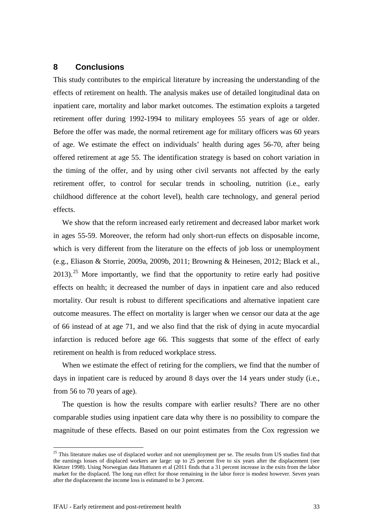# <span id="page-34-0"></span>**8 Conclusions**

This study contributes to the empirical literature by increasing the understanding of the effects of retirement on health. The analysis makes use of detailed longitudinal data on inpatient care, mortality and labor market outcomes. The estimation exploits a targeted retirement offer during 1992-1994 to military employees 55 years of age or older. Before the offer was made, the normal retirement age for military officers was 60 years of age. We estimate the effect on individuals' health during ages 56-70, after being offered retirement at age 55. The identification strategy is based on cohort variation in the timing of the offer, and by using other civil servants not affected by the early retirement offer, to control for secular trends in schooling, nutrition (i.e., early childhood difference at the cohort level), health care technology, and general period effects.

We show that the reform increased early retirement and decreased labor market work in ages 55-59. Moreover, the reform had only short-run effects on disposable income, which is very different from the literature on the effects of job loss or unemployment (e.g., Eliason & Storrie, 2009a, 2009b, 2011; Browning & Heinesen, 2012; Black et al., 2013).<sup>[25](#page-34-1)</sup> More importantly, we find that the opportunity to retire early had positive effects on health; it decreased the number of days in inpatient care and also reduced mortality. Our result is robust to different specifications and alternative inpatient care outcome measures. The effect on mortality is larger when we censor our data at the age of 66 instead of at age 71, and we also find that the risk of dying in acute myocardial infarction is reduced before age 66. This suggests that some of the effect of early retirement on health is from reduced workplace stress.

When we estimate the effect of retiring for the compliers, we find that the number of days in inpatient care is reduced by around 8 days over the 14 years under study (i.e., from 56 to 70 years of age).

The question is how the results compare with earlier results? There are no other comparable studies using inpatient care data why there is no possibility to compare the magnitude of these effects. Based on our point estimates from the Cox regression we

<span id="page-34-1"></span> $25$  This literature makes use of displaced worker and not unemployment per se. The results from US studies find that the earnings losses of displaced workers are large: up to 25 percent five to six years after the displacement (see Kletzer 1998). Using Norwegian data Huttunen et al (2011 finds that a 31 percent increase in the exits from the labor market for the displaced. The long run effect for those remaining in the labor force is modest however. Seven years after the displacement the income loss is estimated to be 3 percent.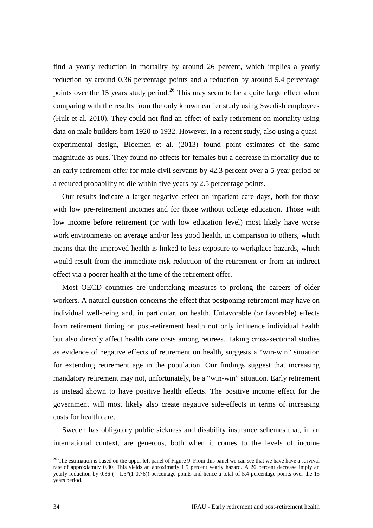find a yearly reduction in mortality by around 26 percent, which implies a yearly reduction by around 0.36 percentage points and a reduction by around 5.4 percentage points over the 15 years study period.<sup>[26](#page-35-0)</sup> This may seem to be a quite large effect when comparing with the results from the only known earlier study using Swedish employees (Hult et al. 2010). They could not find an effect of early retirement on mortality using data on male builders born 1920 to 1932. However, in a recent study, also using a quasiexperimental design, Bloemen et al. (2013) found point estimates of the same magnitude as ours. They found no effects for females but a decrease in mortality due to an early retirement offer for male civil servants by 42.3 percent over a 5-year period or a reduced probability to die within five years by 2.5 percentage points.

Our results indicate a larger negative effect on inpatient care days, both for those with low pre-retirement incomes and for those without college education. Those with low income before retirement (or with low education level) most likely have worse work environments on average and/or less good health, in comparison to others, which means that the improved health is linked to less exposure to workplace hazards, which would result from the immediate risk reduction of the retirement or from an indirect effect via a poorer health at the time of the retirement offer.

Most OECD countries are undertaking measures to prolong the careers of older workers. A natural question concerns the effect that postponing retirement may have on individual well-being and, in particular, on health. Unfavorable (or favorable) effects from retirement timing on post-retirement health not only influence individual health but also directly affect health care costs among retirees. Taking cross-sectional studies as evidence of negative effects of retirement on health, suggests a "win-win" situation for extending retirement age in the population. Our findings suggest that increasing mandatory retirement may not, unfortunately, be a "win-win" situation. Early retirement is instead shown to have positive health effects. The positive income effect for the government will most likely also create negative side-effects in terms of increasing costs for health care.

Sweden has obligatory public sickness and disability insurance schemes that, in an international context, are generous, both when it comes to the levels of income

<span id="page-35-0"></span> $26$  The estimation is based on the upper left panel o[f Figure 9.](#page-25-0) From this panel we can see that we have have a survival rate of approxiamtly 0.80. This yields an aproximatly 1.5 percent yearly hazard. A 26 percent decrease imply an yearly reduction by  $0.36$  (= 1.5\*(1-0.76)) percentage points and hence a total of 5.4 percentage points over the 15 years period.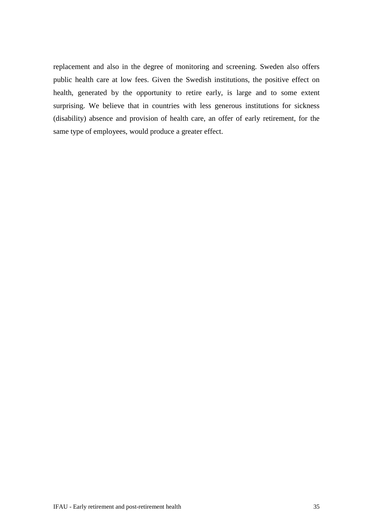replacement and also in the degree of monitoring and screening. Sweden also offers public health care at low fees. Given the Swedish institutions, the positive effect on health, generated by the opportunity to retire early, is large and to some extent surprising. We believe that in countries with less generous institutions for sickness (disability) absence and provision of health care, an offer of early retirement, for the same type of employees, would produce a greater effect.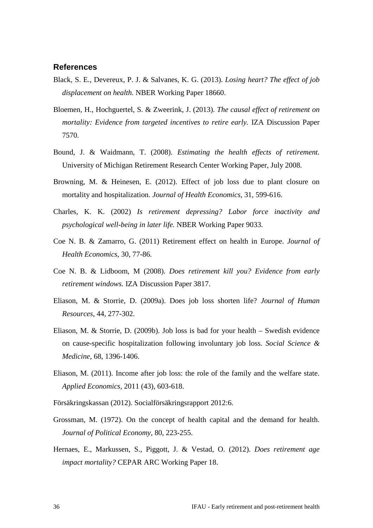## <span id="page-37-0"></span>**References**

- Black, S. E., Devereux, P. J. & Salvanes, K. G. (2013). *Losing heart? The effect of job displacement on health.* NBER Working Paper 18660.
- Bloemen, H., Hochguertel, S. & Zweerink, J. (2013). *The causal effect of retirement on mortality: Evidence from targeted incentives to retire early.* IZA Discussion Paper 7570.
- Bound, J. & Waidmann, T. (2008). *Estimating the health effects of retirement.* University of Michigan Retirement Research Center Working Paper, July 2008.
- Browning, M. & Heinesen, E. (2012). Effect of job loss due to plant closure on mortality and hospitalization. *Journal of Health Economics*, 31, 599-616.
- Charles, K. K. (2002) *Is retirement depressing? Labor force inactivity and psychological well-being in later life.* NBER Working Paper 9033.
- Coe N. B. & Zamarro, G. (2011) Retirement effect on health in Europe. *Journal of Health Economics*, 30, 77-86.
- Coe N. B. & Lidboom, M (2008). *Does retirement kill you? Evidence from early retirement windows.* IZA Discussion Paper 3817.
- Eliason, M. & Storrie, D. (2009a). Does job loss shorten life? *Journal of Human Resources*, 44, 277-302.
- Eliason, M. & Storrie, D. (2009b). Job loss is bad for your health Swedish evidence on cause-specific hospitalization following involuntary job loss. *Social Science & Medicine*, 68, 1396-1406.
- Eliason, M. (2011). Income after job loss: the role of the family and the welfare state. *Applied Economics*, 2011 (43), 603-618.
- Försäkringskassan (2012). Socialförsäkringsrapport 2012:6.
- Grossman, M. (1972). On the concept of health capital and the demand for health. *Journal of Political Economy*, 80, 223-255.
- Hernaes, E., Markussen, S., Piggott, J. & Vestad, O. (2012). *Does retirement age impact mortality?* CEPAR ARC Working Paper 18.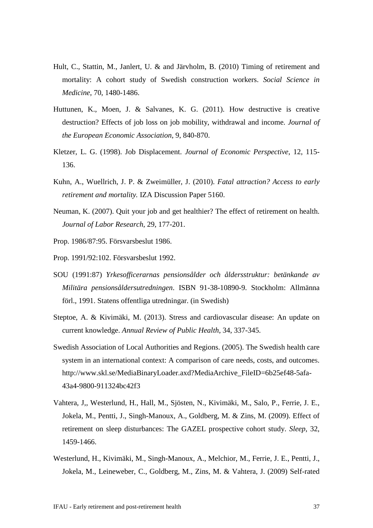- Hult, C., Stattin, M., Janlert, U. & and Järvholm, B. (2010) Timing of retirement and mortality: A cohort study of Swedish construction workers. *Social Science in Medicine*, 70, 1480-1486.
- Huttunen, K., Moen, J. & Salvanes, K. G. (2011). How destructive is creative destruction? Effects of job loss on job mobility, withdrawal and income. *Journal of the European Economic Association*, 9, 840-870.
- Kletzer, L. G. (1998). Job Displacement. *Journal of Economic Perspective*, 12, 115- 136.
- Kuhn, A., Wuellrich, J. P. & Zweimüller, J. (2010). *Fatal attraction? Access to early retirement and mortality.* IZA Discussion Paper 5160.
- Neuman, K. (2007). Quit your job and get healthier? The effect of retirement on health. *Journal of Labor Research*, 29, 177-201.
- Prop. 1986/87:95. Försvarsbeslut 1986.
- Prop. 1991/92:102. Försvarsbeslut 1992.
- SOU (1991:87) *Yrkesofficerarnas pensionsålder och åldersstruktur: betänkande av Militära pensionsåldersutredningen*. ISBN 91-38-10890-9. Stockholm: Allmänna förl., 1991. Statens offentliga utredningar. (in Swedish)
- Steptoe, A. & Kivimäki, M. (2013). Stress and cardiovascular disease: An update on current knowledge. *Annual Review of Public Health*, 34, 337-345.
- Swedish Association of Local Authorities and Regions. (2005). The Swedish health care system in an international context: A comparison of care needs, costs, and outcomes. http://www.skl.se/MediaBinaryLoader.axd?MediaArchive\_FileID=6b25ef48-5afa-43a4-9800-911324bc42f3
- Vahtera, J,, Westerlund, H., Hall, M., Sjösten, N., Kivimäki, M., Salo, P., Ferrie, J. E., Jokela, M., Pentti, J., Singh-Manoux, A., Goldberg, M. & Zins, M. (2009). Effect of retirement on sleep disturbances: The GAZEL prospective cohort study. *Sleep*, 32, 1459-1466.
- Westerlund, H., Kivimäki, M., Singh-Manoux, A., Melchior, M., Ferrie, J. E., Pentti, J., Jokela, M., Leineweber, C., Goldberg, M., Zins, M. & Vahtera, J. (2009) Self-rated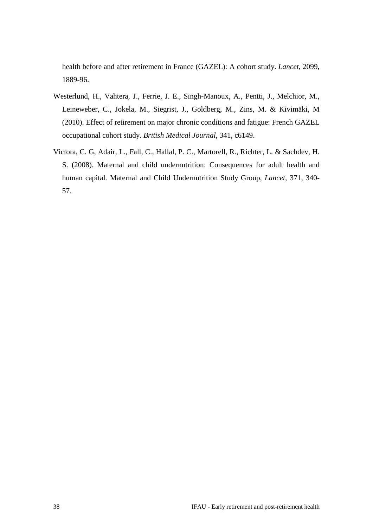health before and after retirement in France (GAZEL): A cohort study. *Lancet*, 2099, 1889-96.

- Westerlund, H., Vahtera, J., Ferrie, J. E., Singh-Manoux, A., Pentti, J., Melchior, M., Leineweber, C., Jokela, M., Siegrist, J., Goldberg, M., Zins, M. & Kivimäki, M (2010). Effect of retirement on major chronic conditions and fatigue: French GAZEL occupational cohort study. *British Medical Journal*, 341, c6149.
- Victora, C. G, Adair, L., Fall, C., Hallal, P. C., Martorell, R., Richter, L. & Sachdev, H. S. (2008). Maternal and child undernutrition: Consequences for adult health and human capital. Maternal and Child Undernutrition Study Group, *Lancet,* 371, 340- 57.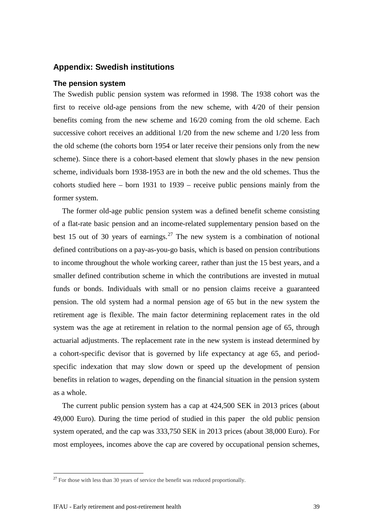## <span id="page-40-0"></span>**Appendix: Swedish institutions**

#### **The pension system**

The Swedish public pension system was reformed in 1998. The 1938 cohort was the first to receive old-age pensions from the new scheme, with 4/20 of their pension benefits coming from the new scheme and 16/20 coming from the old scheme. Each successive cohort receives an additional 1/20 from the new scheme and 1/20 less from the old scheme (the cohorts born 1954 or later receive their pensions only from the new scheme). Since there is a cohort-based element that slowly phases in the new pension scheme, individuals born 1938-1953 are in both the new and the old schemes. Thus the cohorts studied here – born 1931 to 1939 – receive public pensions mainly from the former system.

The former old-age public pension system was a defined benefit scheme consisting of a flat-rate basic pension and an income-related supplementary pension based on the best 15 out of 30 years of earnings.<sup>[27](#page-40-1)</sup> The new system is a combination of notional defined contributions on a pay-as-you-go basis, which is based on pension contributions to income throughout the whole working career, rather than just the 15 best years, and a smaller defined contribution scheme in which the contributions are invested in mutual funds or bonds. Individuals with small or no pension claims receive a guaranteed pension. The old system had a normal pension age of 65 but in the new system the retirement age is flexible. The main factor determining replacement rates in the old system was the age at retirement in relation to the normal pension age of 65, through actuarial adjustments. The replacement rate in the new system is instead determined by a cohort-specific devisor that is governed by life expectancy at age 65, and periodspecific indexation that may slow down or speed up the development of pension benefits in relation to wages, depending on the financial situation in the pension system as a whole.

The current public pension system has a cap at 424,500 SEK in 2013 prices (about 49,000 Euro). During the time period of studied in this paper the old public pension system operated, and the cap was 333,750 SEK in 2013 prices (about 38,000 Euro). For most employees, incomes above the cap are covered by occupational pension schemes,

<span id="page-40-1"></span> $27$  For those with less than 30 years of service the benefit was reduced proportionally.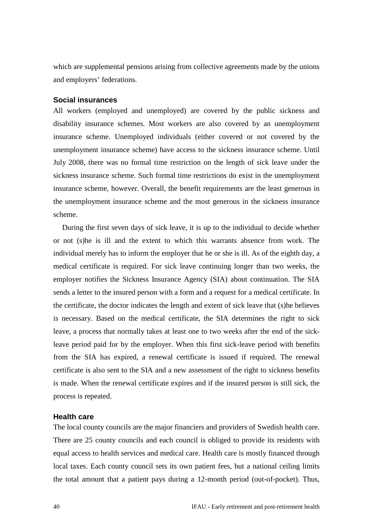which are supplemental pensions arising from collective agreements made by the unions and employers' federations.

## **Social insurances**

All workers (employed and unemployed) are covered by the public sickness and disability insurance schemes. Most workers are also covered by an unemployment insurance scheme. Unemployed individuals (either covered or not covered by the unemployment insurance scheme) have access to the sickness insurance scheme. Until July 2008, there was no formal time restriction on the length of sick leave under the sickness insurance scheme. Such formal time restrictions do exist in the unemployment insurance scheme, however. Overall, the benefit requirements are the least generous in the unemployment insurance scheme and the most generous in the sickness insurance scheme.

During the first seven days of sick leave, it is up to the individual to decide whether or not (s)he is ill and the extent to which this warrants absence from work. The individual merely has to inform the employer that he or she is ill. As of the eighth day, a medical certificate is required. For sick leave continuing longer than two weeks, the employer notifies the Sickness Insurance Agency (SIA) about continuation. The SIA sends a letter to the insured person with a form and a request for a medical certificate. In the certificate, the doctor indicates the length and extent of sick leave that (s)he believes is necessary. Based on the medical certificate, the SIA determines the right to sick leave, a process that normally takes at least one to two weeks after the end of the sickleave period paid for by the employer. When this first sick-leave period with benefits from the SIA has expired, a renewal certificate is issued if required. The renewal certificate is also sent to the SIA and a new assessment of the right to sickness benefits is made. When the renewal certificate expires and if the insured person is still sick, the process is repeated.

## **Health care**

The local county councils are the major financiers and providers of Swedish health care. There are 25 county councils and each council is obliged to provide its residents with equal access to health services and medical care. Health care is mostly financed through local taxes. Each county council sets its own patient fees, but a national ceiling limits the total amount that a patient pays during a 12-month period (out-of-pocket). Thus,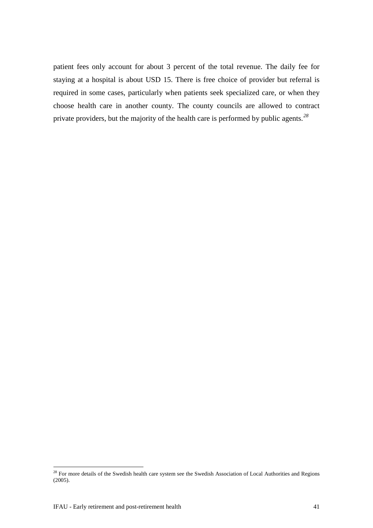patient fees only account for about 3 percent of the total revenue. The daily fee for staying at a hospital is about USD 15. There is free choice of provider but referral is required in some cases, particularly when patients seek specialized care, or when they choose health care in another county. The county councils are allowed to contract private providers, but the majority of the health care is performed by public agents.*[28](#page-42-0)*

<span id="page-42-0"></span><sup>&</sup>lt;sup>28</sup> For more details of the Swedish health care system see the Swedish Association of Local Authorities and Regions (2005).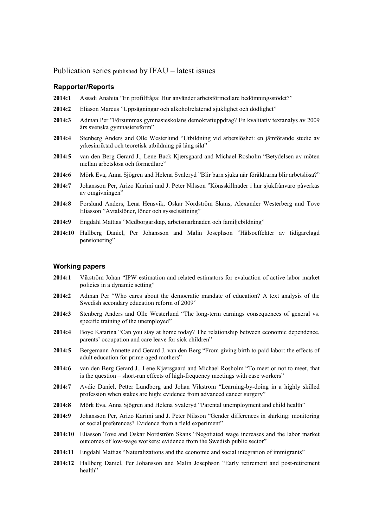Publication series published by IFAU – latest issues

#### **Rapporter/Reports**

- **2014:1** Assadi Anahita "En profilfråga: Hur använder arbetsförmedlare bedömningsstödet?"
- **2014:2** Eliason Marcus "Uppsägningar och alkoholrelaterad sjuklighet och dödlighet"
- **2014:3** Adman Per "Försummas gymnasieskolans demokratiuppdrag? En kvalitativ textanalys av 2009 års svenska gymnasiereform"
- **2014:4** Stenberg Anders and Olle Westerlund "Utbildning vid arbetslöshet: en jämförande studie av yrkesinriktad och teoretisk utbildning på lång sikt"
- **2014:5** van den Berg Gerard J., Lene Back Kjærsgaard and Michael Rosholm "Betydelsen av möten mellan arbetslösa och förmedlare"
- **2014:6** Mörk Eva, Anna Sjögren and Helena Svaleryd "Blir barn sjuka när föräldrarna blir arbetslösa?"
- **2014:7** Johansson Per, Arizo Karimi and J. Peter Nilsson "Könsskillnader i hur sjukfrånvaro påverkas av omgivningen"
- **2014:8** Forslund Anders, Lena Hensvik, Oskar Nordström Skans, Alexander Westerberg and Tove Eliasson "Avtalslöner, löner och sysselsättning"
- **2014:9** Engdahl Mattias "Medborgarskap, arbetsmarknaden och familjebildning"
- **2014:10** Hallberg Daniel, Per Johansson and Malin Josephson "Hälsoeffekter av tidigarelagd pensionering"

#### **Working papers**

- **2014:1** Vikström Johan "IPW estimation and related estimators for evaluation of active labor market policies in a dynamic setting"
- **2014:2** Adman Per "Who cares about the democratic mandate of education? A text analysis of the Swedish secondary education reform of 2009"
- **2014:3** Stenberg Anders and Olle Westerlund "The long-term earnings consequences of general vs. specific training of the unemployed"
- **2014:4** Boye Katarina "Can you stay at home today? The relationship between economic dependence, parents' occupation and care leave for sick children"
- **2014:5** Bergemann Annette and Gerard J. van den Berg "From giving birth to paid labor: the effects of adult education for prime-aged mothers"
- **2014:6** van den Berg Gerard J., Lene Kjærsgaard and Michael Rosholm "To meet or not to meet, that is the question – short-run effects of high-frequency meetings with case workers"
- **2014:7** Avdic Daniel, Petter Lundborg and Johan Vikström "Learning-by-doing in a highly skilled profession when stakes are high: evidence from advanced cancer surgery"
- **2014:8** Mörk Eva, Anna Sjögren and Helena Svaleryd "Parental unemployment and child health"
- **2014:9** Johansson Per, Arizo Karimi and J. Peter Nilsson "Gender differences in shirking: monitoring or social preferences? Evidence from a field experiment"
- **2014:10** Eliasson Tove and Oskar Nordström Skans "Negotiated wage increases and the labor market outcomes of low-wage workers: evidence from the Swedish public sector"
- **2014:11** Engdahl Mattias "Naturalizations and the economic and social integration of immigrants"
- **2014:12** Hallberg Daniel, Per Johansson and Malin Josephson "Early retirement and post-retirement health"